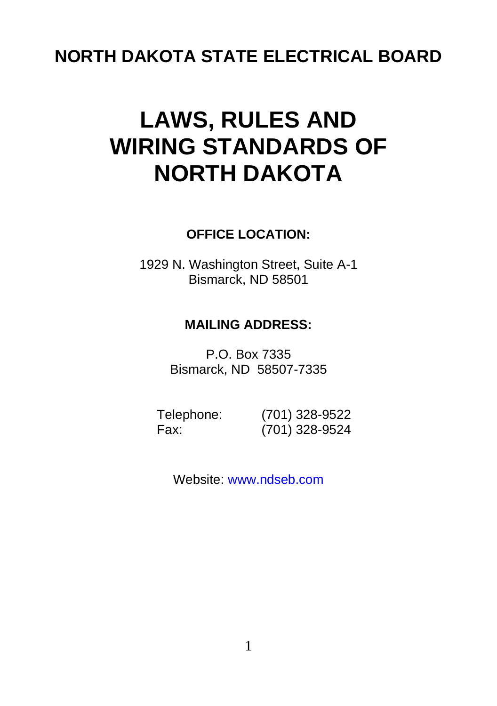## **NORTH DAKOTA STATE ELECTRICAL BOARD**

# **LAWS, RULES AND WIRING STANDARDS OF NORTH DAKOTA**

#### **OFFICE LOCATION:**

1929 N. Washington Street, Suite A-1 Bismarck, ND 58501

#### **MAILING ADDRESS:**

P.O. Box 7335 Bismarck, ND 58507-7335

| Telephone: | (701) 328-9522 |
|------------|----------------|
| Fax:       | (701) 328-9524 |

Website[: www.ndseb.com](http://www.state.nd.us/electric)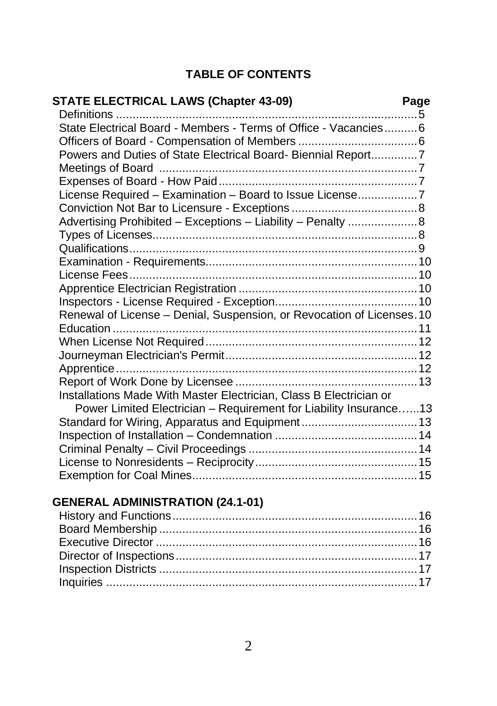#### **TABLE OF CONTENTS**

#### **STATE ELECTRICAL LAWS (Chapter 43-09) Page** Definitions ...........................................................................................5 State Electrical Board - Members - Terms of Office - Vacancies..........6 Officers of Board - Compensation of Members ....................................6 Powers and Duties of State Electrical Board- Biennial Report..............7 Meetings of Board ..............................................................................7 Expenses of Board - How Paid............................................................7 License Required – Examination – Board to Issue License..................7 Conviction Not Bar to Licensure - Exceptions ......................................8 Advertising Prohibited – Exceptions – Liability – Penalty .....................8 Types of Licenses................................................................................8 Qualifications.......................................................................................9 Examination - Requirements................................................................10 License Fees.......................................................................................10 Apprentice Electrician Registration ......................................................10 Inspectors - License Required - Exception...........................................10 Renewal of License – Denial, Suspension, or Revocation of Licenses.10 Education ............................................................................................11 When License Not Required................................................................12 Journeyman Electrician's Permit..........................................................12 Apprentice...........................................................................................12 Report of Work Done by Licensee .......................................................13 Installations Made With Master Electrician, Class B Electrician or Power Limited Electrician – Requirement for Liability Insurance…...13 Standard for Wiring, Apparatus and Equipment ...................................13 Inspection of Installation – Condemnation ...........................................14 Criminal Penalty – Civil Proceedings ...................................................14 License to Nonresidents – Reciprocity.................................................15 Exemption for Coal Mines....................................................................15

#### **GENERAL ADMINISTRATION (24.1-01)**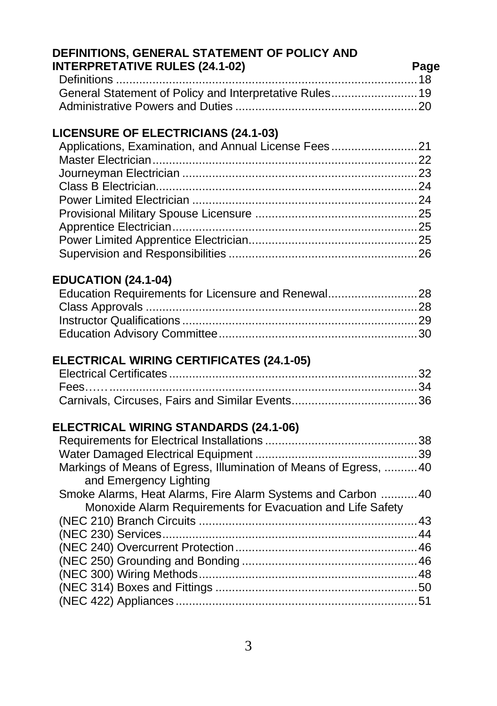#### **DEFINITIONS, GENERAL STATEMENT OF POLICY AND INTERPRETATIVE RULES (24.1-02) Page**

### **LICENSURE OF ELECTRICIANS (24.1-03)**

| Applications, Examination, and Annual License Fees21 |  |
|------------------------------------------------------|--|
|                                                      |  |
|                                                      |  |
|                                                      |  |
|                                                      |  |
|                                                      |  |
|                                                      |  |
|                                                      |  |
|                                                      |  |

#### **EDUCATION (24.1-04)**

| Education Requirements for Licensure and Renewal28 |  |
|----------------------------------------------------|--|
|                                                    |  |
|                                                    |  |
|                                                    |  |

#### **ELECTRICAL WIRING CERTIFICATES (24.1-05)**

#### **ELECTRICAL WIRING STANDARDS (24.1-06)**

| Markings of Means of Egress, Illumination of Means of Egress, 40 |  |
|------------------------------------------------------------------|--|
| and Emergency Lighting                                           |  |
| Smoke Alarms, Heat Alarms, Fire Alarm Systems and Carbon 40      |  |
| Monoxide Alarm Requirements for Evacuation and Life Safety       |  |
|                                                                  |  |
|                                                                  |  |
|                                                                  |  |
|                                                                  |  |
|                                                                  |  |
|                                                                  |  |
|                                                                  |  |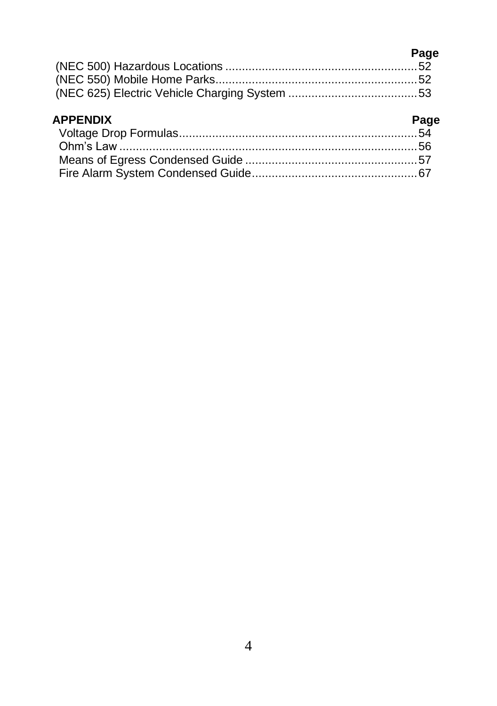| Page |
|------|
|      |
|      |
|      |

#### **APPENDIX Page**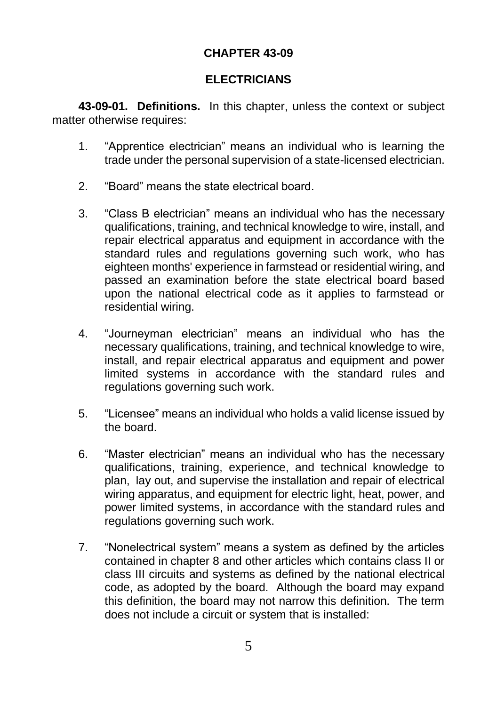#### **CHAPTER 43-09**

#### **ELECTRICIANS**

**43-09-01. Definitions.** In this chapter, unless the context or subject matter otherwise requires:

- 1. "Apprentice electrician" means an individual who is learning the trade under the personal supervision of a state-licensed electrician.
- 2. "Board" means the state electrical board.
- 3. "Class B electrician" means an individual who has the necessary qualifications, training, and technical knowledge to wire, install, and repair electrical apparatus and equipment in accordance with the standard rules and regulations governing such work, who has eighteen months' experience in farmstead or residential wiring, and passed an examination before the state electrical board based upon the national electrical code as it applies to farmstead or residential wiring.
- 4. "Journeyman electrician" means an individual who has the necessary qualifications, training, and technical knowledge to wire, install, and repair electrical apparatus and equipment and power limited systems in accordance with the standard rules and regulations governing such work.
- 5. "Licensee" means an individual who holds a valid license issued by the board.
- 6. "Master electrician" means an individual who has the necessary qualifications, training, experience, and technical knowledge to plan, lay out, and supervise the installation and repair of electrical wiring apparatus, and equipment for electric light, heat, power, and power limited systems, in accordance with the standard rules and regulations governing such work.
- 7. "Nonelectrical system" means a system as defined by the articles contained in chapter 8 and other articles which contains class II or class III circuits and systems as defined by the national electrical code, as adopted by the board. Although the board may expand this definition, the board may not narrow this definition. The term does not include a circuit or system that is installed: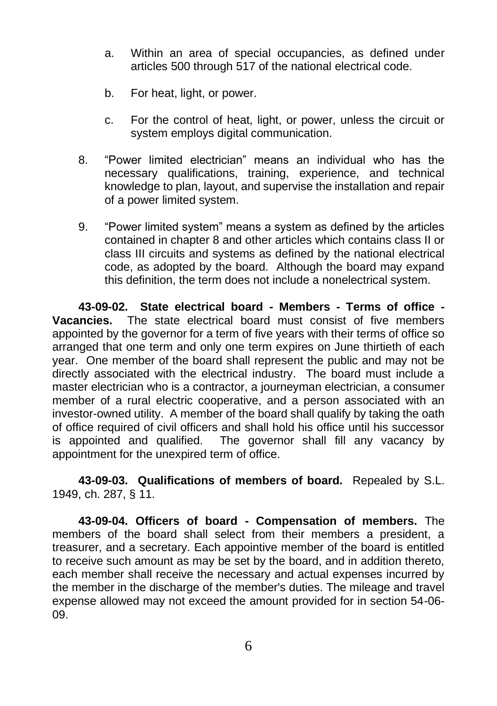- a. Within an area of special occupancies, as defined under articles 500 through 517 of the national electrical code.
- b. For heat, light, or power.
- c. For the control of heat, light, or power, unless the circuit or system employs digital communication.
- 8. "Power limited electrician" means an individual who has the necessary qualifications, training, experience, and technical knowledge to plan, layout, and supervise the installation and repair of a power limited system.
- 9. "Power limited system" means a system as defined by the articles contained in chapter 8 and other articles which contains class II or class III circuits and systems as defined by the national electrical code, as adopted by the board. Although the board may expand this definition, the term does not include a nonelectrical system.

**43-09-02. State electrical board - Members - Terms of office - Vacancies.** The state electrical board must consist of five members appointed by the governor for a term of five years with their terms of office so arranged that one term and only one term expires on June thirtieth of each year. One member of the board shall represent the public and may not be directly associated with the electrical industry. The board must include a master electrician who is a contractor, a journeyman electrician, a consumer member of a rural electric cooperative, and a person associated with an investor-owned utility. A member of the board shall qualify by taking the oath of office required of civil officers and shall hold his office until his successor is appointed and qualified. The governor shall fill any vacancy by appointment for the unexpired term of office.

**43-09-03. Qualifications of members of board.** Repealed by S.L. 1949, ch. 287, § 11.

**43-09-04. Officers of board - Compensation of members.** The members of the board shall select from their members a president, a treasurer, and a secretary. Each appointive member of the board is entitled to receive such amount as may be set by the board, and in addition thereto, each member shall receive the necessary and actual expenses incurred by the member in the discharge of the member's duties. The mileage and travel expense allowed may not exceed the amount provided for in section 54-06- 09.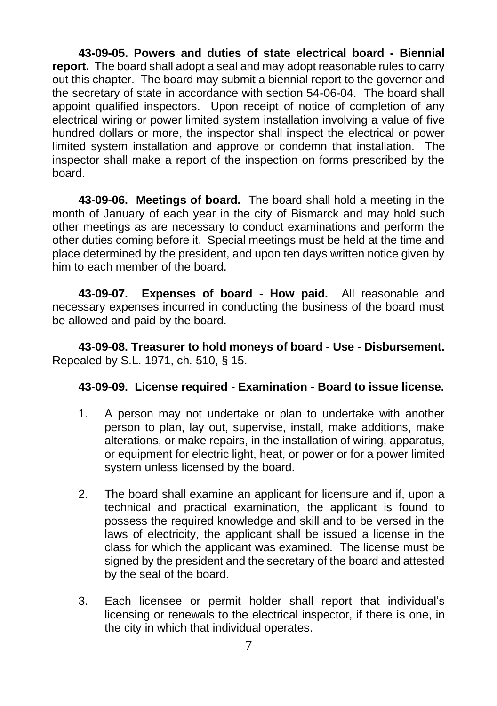**43-09-05. Powers and duties of state electrical board - Biennial report.** The board shall adopt a seal and may adopt reasonable rules to carry out this chapter. The board may submit a biennial report to the governor and the secretary of state in accordance with section 54-06-04. The board shall appoint qualified inspectors. Upon receipt of notice of completion of any electrical wiring or power limited system installation involving a value of five hundred dollars or more, the inspector shall inspect the electrical or power limited system installation and approve or condemn that installation. The inspector shall make a report of the inspection on forms prescribed by the board.

**43-09-06. Meetings of board.** The board shall hold a meeting in the month of January of each year in the city of Bismarck and may hold such other meetings as are necessary to conduct examinations and perform the other duties coming before it. Special meetings must be held at the time and place determined by the president, and upon ten days written notice given by him to each member of the board.

**43-09-07. Expenses of board - How paid.** All reasonable and necessary expenses incurred in conducting the business of the board must be allowed and paid by the board.

**43-09-08. Treasurer to hold moneys of board - Use - Disbursement.** Repealed by S.L. 1971, ch. 510, § 15.

#### **43-09-09. License required - Examination - Board to issue license.**

- 1. A person may not undertake or plan to undertake with another person to plan, lay out, supervise, install, make additions, make alterations, or make repairs, in the installation of wiring, apparatus, or equipment for electric light, heat, or power or for a power limited system unless licensed by the board.
- 2. The board shall examine an applicant for licensure and if, upon a technical and practical examination, the applicant is found to possess the required knowledge and skill and to be versed in the laws of electricity, the applicant shall be issued a license in the class for which the applicant was examined. The license must be signed by the president and the secretary of the board and attested by the seal of the board.
- 3. Each licensee or permit holder shall report that individual's licensing or renewals to the electrical inspector, if there is one, in the city in which that individual operates.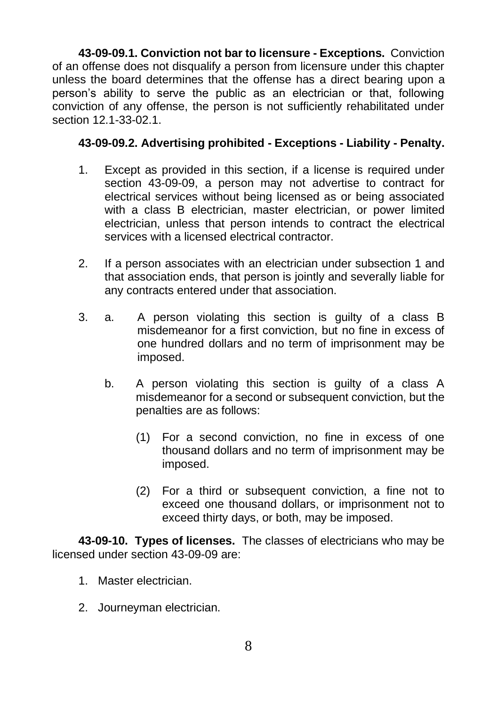**43-09-09.1. Conviction not bar to licensure - Exceptions.** Conviction of an offense does not disqualify a person from licensure under this chapter unless the board determines that the offense has a direct bearing upon a person's ability to serve the public as an electrician or that, following conviction of any offense, the person is not sufficiently rehabilitated under section 12.1-33-02.1.

#### **43-09-09.2. Advertising prohibited - Exceptions - Liability - Penalty.**

- 1. Except as provided in this section, if a license is required under section 43-09-09, a person may not advertise to contract for electrical services without being licensed as or being associated with a class B electrician, master electrician, or power limited electrician, unless that person intends to contract the electrical services with a licensed electrical contractor.
- 2. If a person associates with an electrician under subsection 1 and that association ends, that person is jointly and severally liable for any contracts entered under that association.
- 3. a. A person violating this section is guilty of a class B misdemeanor for a first conviction, but no fine in excess of one hundred dollars and no term of imprisonment may be imposed.
	- b. A person violating this section is guilty of a class A misdemeanor for a second or subsequent conviction, but the penalties are as follows:
		- (1) For a second conviction, no fine in excess of one thousand dollars and no term of imprisonment may be imposed.
		- (2) For a third or subsequent conviction, a fine not to exceed one thousand dollars, or imprisonment not to exceed thirty days, or both, may be imposed.

**43-09-10. Types of licenses.** The classes of electricians who may be licensed under section 43-09-09 are:

- 1. Master electrician.
- 2. Journeyman electrician.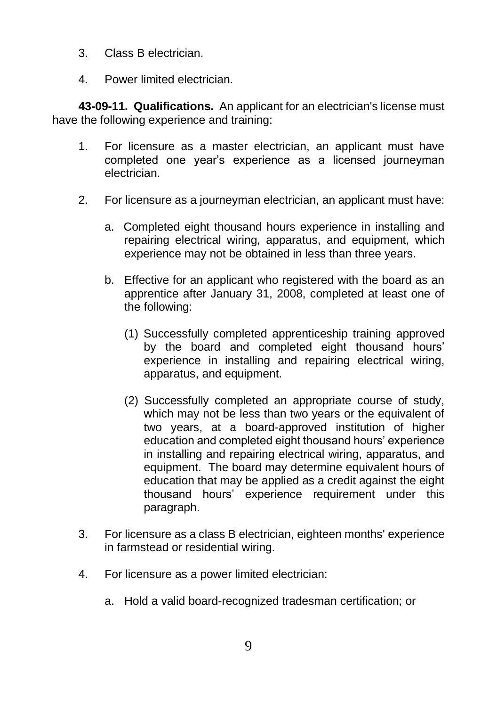- 3. Class B electrician.
- 4. Power limited electrician.

**43-09-11. Qualifications.** An applicant for an electrician's license must have the following experience and training:

- 1. For licensure as a master electrician, an applicant must have completed one year's experience as a licensed journeyman electrician.
- 2. For licensure as a journeyman electrician, an applicant must have:
	- a. Completed eight thousand hours experience in installing and repairing electrical wiring, apparatus, and equipment, which experience may not be obtained in less than three years.
	- b. Effective for an applicant who registered with the board as an apprentice after January 31, 2008, completed at least one of the following:
		- (1) Successfully completed apprenticeship training approved by the board and completed eight thousand hours' experience in installing and repairing electrical wiring, apparatus, and equipment.
		- (2) Successfully completed an appropriate course of study, which may not be less than two years or the equivalent of two years, at a board-approved institution of higher education and completed eight thousand hours' experience in installing and repairing electrical wiring, apparatus, and equipment. The board may determine equivalent hours of education that may be applied as a credit against the eight thousand hours' experience requirement under this paragraph.
- 3. For licensure as a class B electrician, eighteen months' experience in farmstead or residential wiring.
- 4. For licensure as a power limited electrician:
	- a. Hold a valid board-recognized tradesman certification; or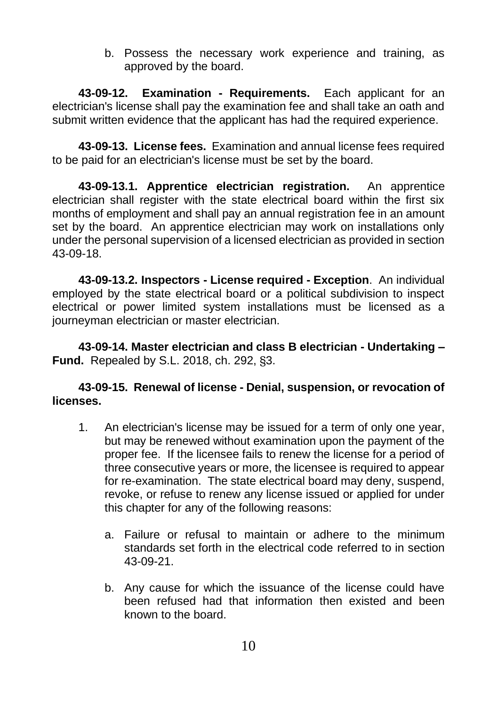b. Possess the necessary work experience and training, as approved by the board.

**43-09-12. Examination - Requirements.** Each applicant for an electrician's license shall pay the examination fee and shall take an oath and submit written evidence that the applicant has had the required experience.

**43-09-13. License fees.** Examination and annual license fees required to be paid for an electrician's license must be set by the board.

**43-09-13.1. Apprentice electrician registration.** An apprentice electrician shall register with the state electrical board within the first six months of employment and shall pay an annual registration fee in an amount set by the board. An apprentice electrician may work on installations only under the personal supervision of a licensed electrician as provided in section 43-09-18.

**43-09-13.2. Inspectors - License required - Exception**. An individual employed by the state electrical board or a political subdivision to inspect electrical or power limited system installations must be licensed as a journeyman electrician or master electrician.

**43-09-14. Master electrician and class B electrician - Undertaking – Fund.** Repealed by S.L. 2018, ch. 292, §3.

#### **43-09-15. Renewal of license - Denial, suspension, or revocation of licenses.**

- 1. An electrician's license may be issued for a term of only one year, but may be renewed without examination upon the payment of the proper fee. If the licensee fails to renew the license for a period of three consecutive years or more, the licensee is required to appear for re-examination. The state electrical board may deny, suspend, revoke, or refuse to renew any license issued or applied for under this chapter for any of the following reasons:
	- a. Failure or refusal to maintain or adhere to the minimum standards set forth in the electrical code referred to in section 43-09-21.
	- b. Any cause for which the issuance of the license could have been refused had that information then existed and been known to the board.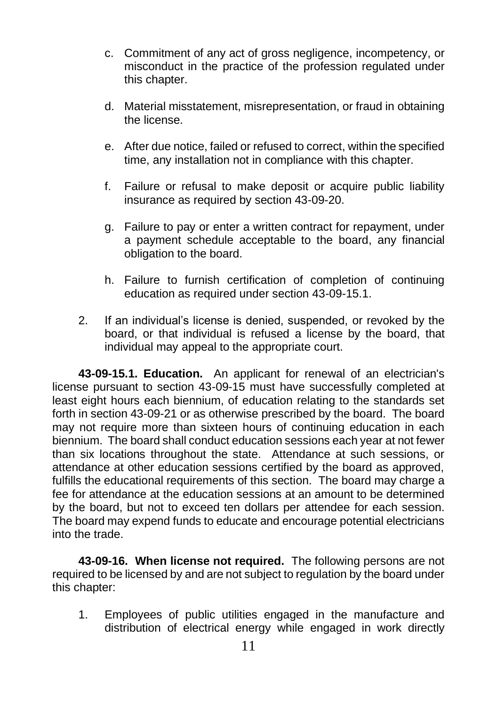- c. Commitment of any act of gross negligence, incompetency, or misconduct in the practice of the profession regulated under this chapter.
- d. Material misstatement, misrepresentation, or fraud in obtaining the license.
- e. After due notice, failed or refused to correct, within the specified time, any installation not in compliance with this chapter.
- f. Failure or refusal to make deposit or acquire public liability insurance as required by section 43-09-20.
- g. Failure to pay or enter a written contract for repayment, under a payment schedule acceptable to the board, any financial obligation to the board.
- h. Failure to furnish certification of completion of continuing education as required under section 43-09-15.1.
- 2. If an individual's license is denied, suspended, or revoked by the board, or that individual is refused a license by the board, that individual may appeal to the appropriate court.

**43-09-15.1. Education.** An applicant for renewal of an electrician's license pursuant to section 43-09-15 must have successfully completed at least eight hours each biennium, of education relating to the standards set forth in section 43-09-21 or as otherwise prescribed by the board. The board may not require more than sixteen hours of continuing education in each biennium. The board shall conduct education sessions each year at not fewer than six locations throughout the state. Attendance at such sessions, or attendance at other education sessions certified by the board as approved, fulfills the educational requirements of this section. The board may charge a fee for attendance at the education sessions at an amount to be determined by the board, but not to exceed ten dollars per attendee for each session. The board may expend funds to educate and encourage potential electricians into the trade.

**43-09-16. When license not required.** The following persons are not required to be licensed by and are not subject to regulation by the board under this chapter:

1. Employees of public utilities engaged in the manufacture and distribution of electrical energy while engaged in work directly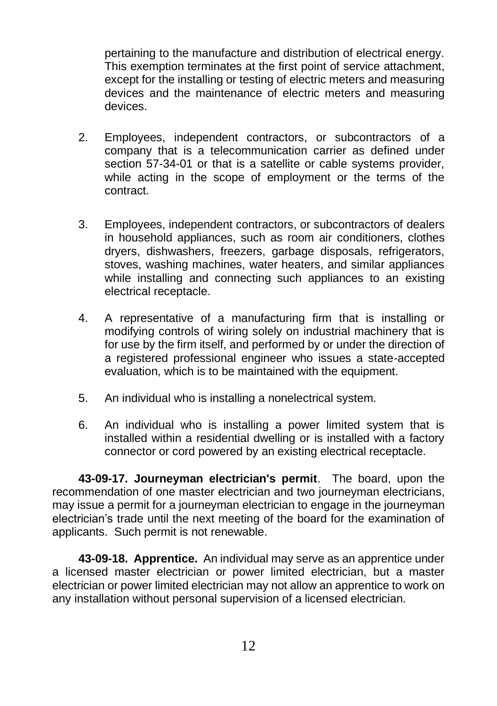pertaining to the manufacture and distribution of electrical energy. This exemption terminates at the first point of service attachment, except for the installing or testing of electric meters and measuring devices and the maintenance of electric meters and measuring devices.

- 2. Employees, independent contractors, or subcontractors of a company that is a telecommunication carrier as defined under section 57-34-01 or that is a satellite or cable systems provider, while acting in the scope of employment or the terms of the contract.
- 3. Employees, independent contractors, or subcontractors of dealers in household appliances, such as room air conditioners, clothes dryers, dishwashers, freezers, garbage disposals, refrigerators, stoves, washing machines, water heaters, and similar appliances while installing and connecting such appliances to an existing electrical receptacle.
- 4. A representative of a manufacturing firm that is installing or modifying controls of wiring solely on industrial machinery that is for use by the firm itself, and performed by or under the direction of a registered professional engineer who issues a state-accepted evaluation, which is to be maintained with the equipment.
- 5. An individual who is installing a nonelectrical system.
- 6. An individual who is installing a power limited system that is installed within a residential dwelling or is installed with a factory connector or cord powered by an existing electrical receptacle.

**43-09-17. Journeyman electrician's permit**. The board, upon the recommendation of one master electrician and two journeyman electricians, may issue a permit for a journeyman electrician to engage in the journeyman electrician's trade until the next meeting of the board for the examination of applicants. Such permit is not renewable.

**43-09-18. Apprentice.** An individual may serve as an apprentice under a licensed master electrician or power limited electrician, but a master electrician or power limited electrician may not allow an apprentice to work on any installation without personal supervision of a licensed electrician.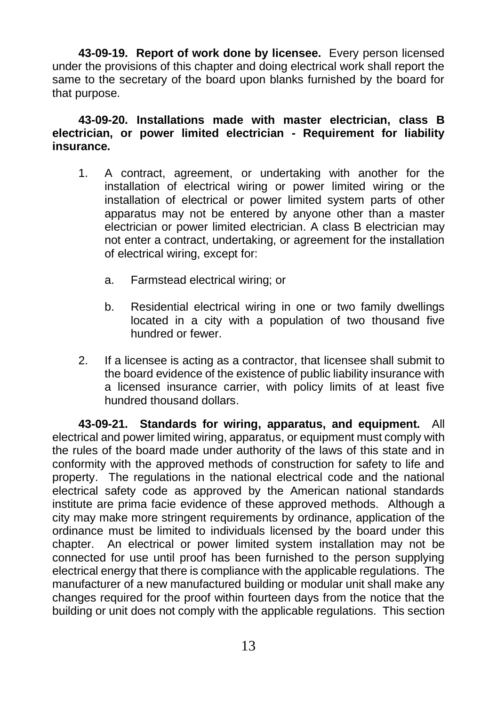**43-09-19. Report of work done by licensee.** Every person licensed under the provisions of this chapter and doing electrical work shall report the same to the secretary of the board upon blanks furnished by the board for that purpose.

**43-09-20. Installations made with master electrician, class B electrician, or power limited electrician - Requirement for liability insurance.**

- 1. A contract, agreement, or undertaking with another for the installation of electrical wiring or power limited wiring or the installation of electrical or power limited system parts of other apparatus may not be entered by anyone other than a master electrician or power limited electrician. A class B electrician may not enter a contract, undertaking, or agreement for the installation of electrical wiring, except for:
	- a. Farmstead electrical wiring; or
	- b. Residential electrical wiring in one or two family dwellings located in a city with a population of two thousand five hundred or fewer.
- 2. If a licensee is acting as a contractor, that licensee shall submit to the board evidence of the existence of public liability insurance with a licensed insurance carrier, with policy limits of at least five hundred thousand dollars.

**43-09-21. Standards for wiring, apparatus, and equipment.** All electrical and power limited wiring, apparatus, or equipment must comply with the rules of the board made under authority of the laws of this state and in conformity with the approved methods of construction for safety to life and property. The regulations in the national electrical code and the national electrical safety code as approved by the American national standards institute are prima facie evidence of these approved methods. Although a city may make more stringent requirements by ordinance, application of the ordinance must be limited to individuals licensed by the board under this chapter. An electrical or power limited system installation may not be connected for use until proof has been furnished to the person supplying electrical energy that there is compliance with the applicable regulations. The manufacturer of a new manufactured building or modular unit shall make any changes required for the proof within fourteen days from the notice that the building or unit does not comply with the applicable regulations. This section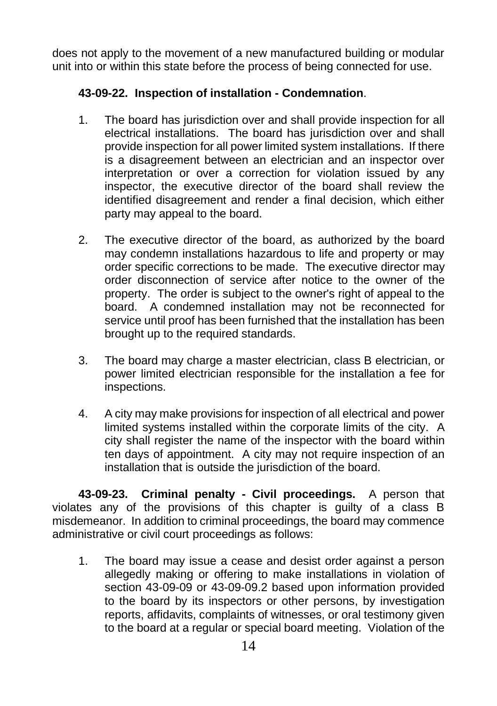does not apply to the movement of a new manufactured building or modular unit into or within this state before the process of being connected for use.

#### **43-09-22. Inspection of installation - Condemnation**.

- 1. The board has jurisdiction over and shall provide inspection for all electrical installations. The board has jurisdiction over and shall provide inspection for all power limited system installations. If there is a disagreement between an electrician and an inspector over interpretation or over a correction for violation issued by any inspector, the executive director of the board shall review the identified disagreement and render a final decision, which either party may appeal to the board.
- 2. The executive director of the board, as authorized by the board may condemn installations hazardous to life and property or may order specific corrections to be made. The executive director may order disconnection of service after notice to the owner of the property. The order is subject to the owner's right of appeal to the board. A condemned installation may not be reconnected for service until proof has been furnished that the installation has been brought up to the required standards.
- 3. The board may charge a master electrician, class B electrician, or power limited electrician responsible for the installation a fee for inspections.
- 4. A city may make provisions for inspection of all electrical and power limited systems installed within the corporate limits of the city. A city shall register the name of the inspector with the board within ten days of appointment. A city may not require inspection of an installation that is outside the jurisdiction of the board.

**43-09-23. Criminal penalty - Civil proceedings.** A person that violates any of the provisions of this chapter is guilty of a class B misdemeanor. In addition to criminal proceedings, the board may commence administrative or civil court proceedings as follows:

1. The board may issue a cease and desist order against a person allegedly making or offering to make installations in violation of section 43-09-09 or 43-09-09.2 based upon information provided to the board by its inspectors or other persons, by investigation reports, affidavits, complaints of witnesses, or oral testimony given to the board at a regular or special board meeting. Violation of the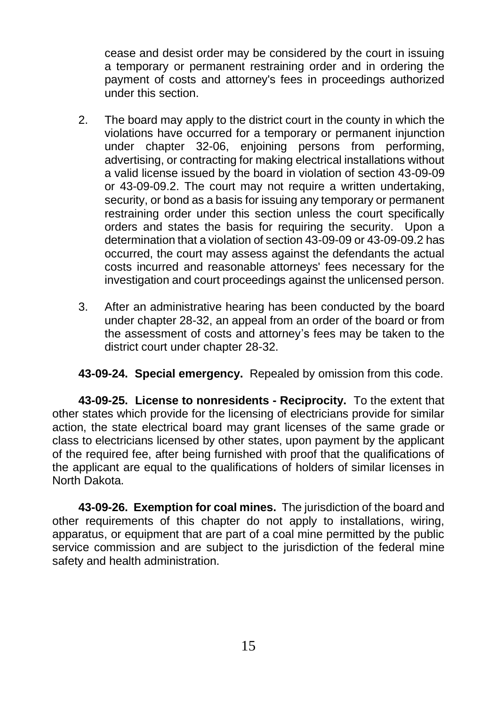cease and desist order may be considered by the court in issuing a temporary or permanent restraining order and in ordering the payment of costs and attorney's fees in proceedings authorized under this section.

- 2. The board may apply to the district court in the county in which the violations have occurred for a temporary or permanent injunction under chapter 32-06, enjoining persons from performing, advertising, or contracting for making electrical installations without a valid license issued by the board in violation of section 43-09-09 or 43-09-09.2. The court may not require a written undertaking, security, or bond as a basis for issuing any temporary or permanent restraining order under this section unless the court specifically orders and states the basis for requiring the security. Upon a determination that a violation of section 43-09-09 or 43-09-09.2 has occurred, the court may assess against the defendants the actual costs incurred and reasonable attorneys' fees necessary for the investigation and court proceedings against the unlicensed person.
- 3. After an administrative hearing has been conducted by the board under chapter 28-32, an appeal from an order of the board or from the assessment of costs and attorney's fees may be taken to the district court under chapter 28-32.

**43-09-24. Special emergency.** Repealed by omission from this code.

**43-09-25. License to nonresidents - Reciprocity.** To the extent that other states which provide for the licensing of electricians provide for similar action, the state electrical board may grant licenses of the same grade or class to electricians licensed by other states, upon payment by the applicant of the required fee, after being furnished with proof that the qualifications of the applicant are equal to the qualifications of holders of similar licenses in North Dakota.

**43-09-26. Exemption for coal mines.** The jurisdiction of the board and other requirements of this chapter do not apply to installations, wiring, apparatus, or equipment that are part of a coal mine permitted by the public service commission and are subject to the jurisdiction of the federal mine safety and health administration.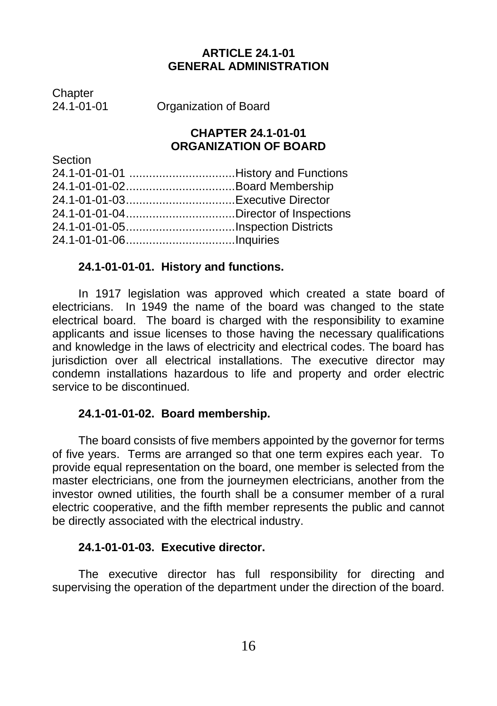#### **ARTICLE 24.1-01 GENERAL ADMINISTRATION**

Chapter<br>24 1-01-01

Section

Organization of Board

#### **CHAPTER 24.1-01-01 ORGANIZATION OF BOARD**

| pection |  |
|---------|--|
|         |  |
|         |  |
|         |  |
|         |  |
|         |  |
|         |  |
|         |  |

#### **24.1-01-01-01. History and functions.**

In 1917 legislation was approved which created a state board of electricians. In 1949 the name of the board was changed to the state electrical board. The board is charged with the responsibility to examine applicants and issue licenses to those having the necessary qualifications and knowledge in the laws of electricity and electrical codes. The board has jurisdiction over all electrical installations. The executive director may condemn installations hazardous to life and property and order electric service to be discontinued.

#### **24.1-01-01-02. Board membership.**

The board consists of five members appointed by the governor for terms of five years. Terms are arranged so that one term expires each year. To provide equal representation on the board, one member is selected from the master electricians, one from the journeymen electricians, another from the investor owned utilities, the fourth shall be a consumer member of a rural electric cooperative, and the fifth member represents the public and cannot be directly associated with the electrical industry.

#### **24.1-01-01-03. Executive director.**

The executive director has full responsibility for directing and supervising the operation of the department under the direction of the board.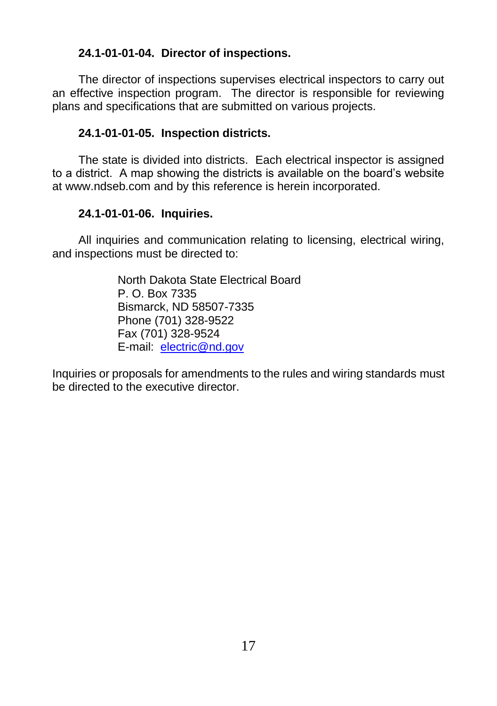#### **24.1-01-01-04. Director of inspections.**

The director of inspections supervises electrical inspectors to carry out an effective inspection program. The director is responsible for reviewing plans and specifications that are submitted on various projects.

#### **24.1-01-01-05. Inspection districts.**

The state is divided into districts. Each electrical inspector is assigned to a district. A map showing the districts is available on the board's website at [www.ndseb.com](http://www.ndseb.com/) and by this reference is herein incorporated.

#### **24.1-01-01-06. Inquiries.**

All inquiries and communication relating to licensing, electrical wiring, and inspections must be directed to:

> North Dakota State Electrical Board P. O. Box 7335 Bismarck, ND 58507-7335 Phone (701) 328-9522 Fax (701) 328-9524 E-mail: [electric@nd.gov](mailto:electric@nd.gov)

Inquiries or proposals for amendments to the rules and wiring standards must be directed to the executive director.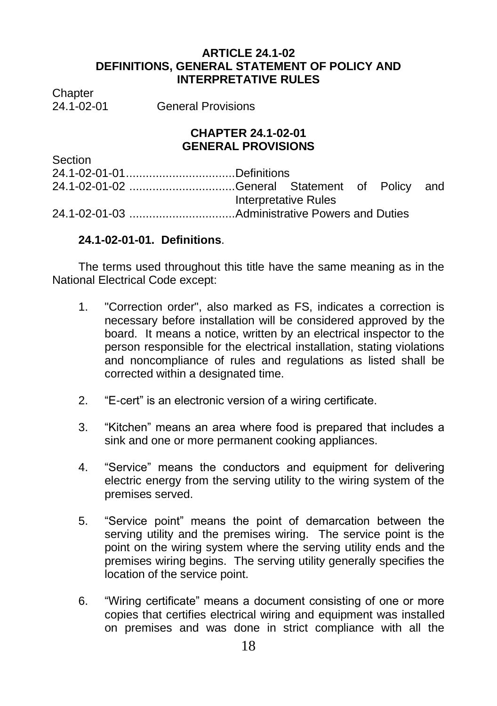#### **ARTICLE 24.1-02 DEFINITIONS, GENERAL STATEMENT OF POLICY AND INTERPRETATIVE RULES**

Chapter<br>24 1-02-01

General Provisions

#### **CHAPTER 24.1-02-01 GENERAL PROVISIONS**

| Section                                       |                      |  |  |
|-----------------------------------------------|----------------------|--|--|
|                                               |                      |  |  |
| 24.1-02-01-02 General Statement of Policy and |                      |  |  |
|                                               | Interpretative Rules |  |  |
|                                               |                      |  |  |

#### **24.1-02-01-01. Definitions**.

The terms used throughout this title have the same meaning as in the National Electrical Code except:

- 1. "Correction order", also marked as FS, indicates a correction is necessary before installation will be considered approved by the board. It means a notice, written by an electrical inspector to the person responsible for the electrical installation, stating violations and noncompliance of rules and regulations as listed shall be corrected within a designated time.
- 2. "E-cert" is an electronic version of a wiring certificate.
- 3. "Kitchen" means an area where food is prepared that includes a sink and one or more permanent cooking appliances.
- 4. "Service" means the conductors and equipment for delivering electric energy from the serving utility to the wiring system of the premises served.
- 5. "Service point" means the point of demarcation between the serving utility and the premises wiring. The service point is the point on the wiring system where the serving utility ends and the premises wiring begins. The serving utility generally specifies the location of the service point.
- 6. "Wiring certificate" means a document consisting of one or more copies that certifies electrical wiring and equipment was installed on premises and was done in strict compliance with all the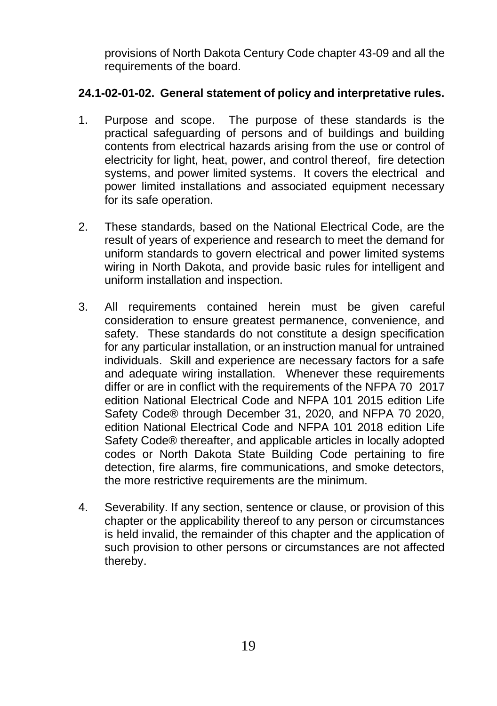provisions of North Dakota Century Code chapter 43-09 and all the requirements of the board.

#### **24.1-02-01-02. General statement of policy and interpretative rules.**

- 1. Purpose and scope. The purpose of these standards is the practical safeguarding of persons and of buildings and building contents from electrical hazards arising from the use or control of electricity for light, heat, power, and control thereof, fire detection systems, and power limited systems. It covers the electrical and power limited installations and associated equipment necessary for its safe operation.
- 2. These standards, based on the National Electrical Code, are the result of years of experience and research to meet the demand for uniform standards to govern electrical and power limited systems wiring in North Dakota, and provide basic rules for intelligent and uniform installation and inspection.
- 3. All requirements contained herein must be given careful consideration to ensure greatest permanence, convenience, and safety. These standards do not constitute a design specification for any particular installation, or an instruction manual for untrained individuals. Skill and experience are necessary factors for a safe and adequate wiring installation. Whenever these requirements differ or are in conflict with the requirements of the NFPA 70 2017 edition National Electrical Code and NFPA 101 2015 edition Life Safety Code® through December 31, 2020, and NFPA 70 2020, edition National Electrical Code and NFPA 101 2018 edition Life Safety Code® thereafter, and applicable articles in locally adopted codes or North Dakota State Building Code pertaining to fire detection, fire alarms, fire communications, and smoke detectors, the more restrictive requirements are the minimum.
- 4. Severability. If any section, sentence or clause, or provision of this chapter or the applicability thereof to any person or circumstances is held invalid, the remainder of this chapter and the application of such provision to other persons or circumstances are not affected thereby.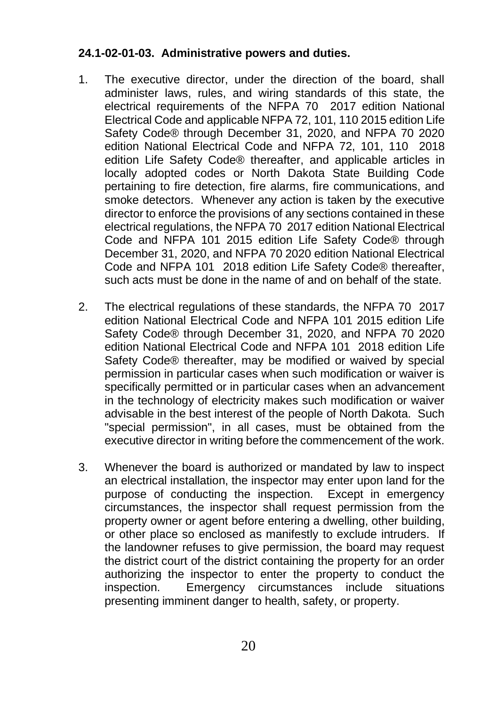#### **24.1-02-01-03. Administrative powers and duties.**

- 1. The executive director, under the direction of the board, shall administer laws, rules, and wiring standards of this state, the electrical requirements of the NFPA 70 2017 edition National Electrical Code and applicable NFPA 72, 101, 110 2015 edition Life Safety Code® through December 31, 2020, and NFPA 70 2020 edition National Electrical Code and NFPA 72, 101, 110 2018 edition Life Safety Code® thereafter, and applicable articles in locally adopted codes or North Dakota State Building Code pertaining to fire detection, fire alarms, fire communications, and smoke detectors. Whenever any action is taken by the executive director to enforce the provisions of any sections contained in these electrical regulations, the NFPA 70 2017 edition National Electrical Code and NFPA 101 2015 edition Life Safety Code® through December 31, 2020, and NFPA 70 2020 edition National Electrical Code and NFPA 101 2018 edition Life Safety Code® thereafter, such acts must be done in the name of and on behalf of the state.
- 2. The electrical regulations of these standards, the NFPA 70 2017 edition National Electrical Code and NFPA 101 2015 edition Life Safety Code® through December 31, 2020, and NFPA 70 2020 edition National Electrical Code and NFPA 101 2018 edition Life Safety Code® thereafter, may be modified or waived by special permission in particular cases when such modification or waiver is specifically permitted or in particular cases when an advancement in the technology of electricity makes such modification or waiver advisable in the best interest of the people of North Dakota. Such "special permission", in all cases, must be obtained from the executive director in writing before the commencement of the work.
- 3. Whenever the board is authorized or mandated by law to inspect an electrical installation, the inspector may enter upon land for the purpose of conducting the inspection. Except in emergency circumstances, the inspector shall request permission from the property owner or agent before entering a dwelling, other building, or other place so enclosed as manifestly to exclude intruders. If the landowner refuses to give permission, the board may request the district court of the district containing the property for an order authorizing the inspector to enter the property to conduct the inspection. Emergency circumstances include situations presenting imminent danger to health, safety, or property.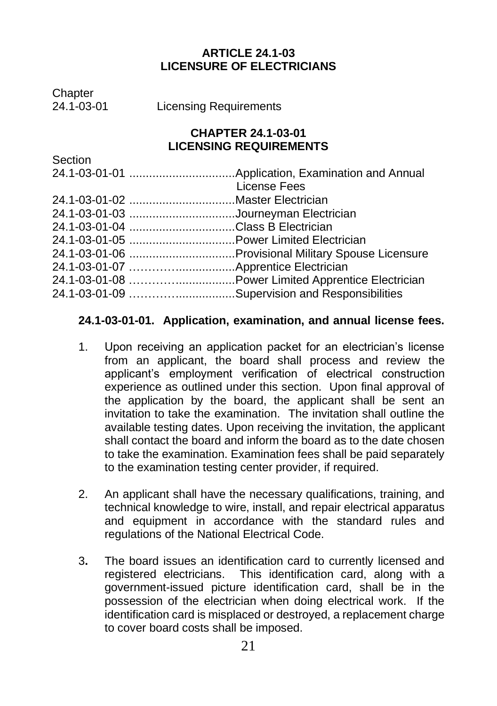#### **ARTICLE 24.1-03 LICENSURE OF ELECTRICIANS**

Chapter<br>24 1-03-01

**Licensing Requirements** 

#### **CHAPTER 24.1-03-01 LICENSING REQUIREMENTS**

| Section |                                                |
|---------|------------------------------------------------|
|         |                                                |
|         | License Fees                                   |
|         | 24.1-03-01-02 Master Electrician               |
|         | 24.1-03-01-03 Journeyman Electrician           |
|         | 24.1-03-01-04 Class B Electrician              |
|         |                                                |
|         |                                                |
|         |                                                |
|         |                                                |
|         | 24.1-03-01-09 Supervision and Responsibilities |
|         |                                                |

#### **24.1-03-01-01. Application, examination, and annual license fees.**

- 1. Upon receiving an application packet for an electrician's license from an applicant, the board shall process and review the applicant's employment verification of electrical construction experience as outlined under this section. Upon final approval of the application by the board, the applicant shall be sent an invitation to take the examination. The invitation shall outline the available testing dates. Upon receiving the invitation, the applicant shall contact the board and inform the board as to the date chosen to take the examination. Examination fees shall be paid separately to the examination testing center provider, if required.
- 2. An applicant shall have the necessary qualifications, training, and technical knowledge to wire, install, and repair electrical apparatus and equipment in accordance with the standard rules and regulations of the National Electrical Code.
- 3**.** The board issues an identification card to currently licensed and registered electricians. This identification card, along with a government-issued picture identification card, shall be in the possession of the electrician when doing electrical work. If the identification card is misplaced or destroyed, a replacement charge to cover board costs shall be imposed.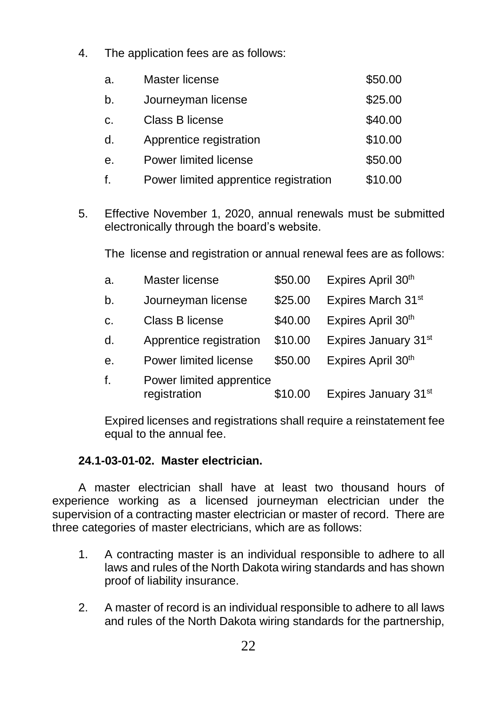4. The application fees are as follows:

| a. | Master license                        | \$50.00 |
|----|---------------------------------------|---------|
| b. | Journeyman license                    | \$25.00 |
| c. | Class B license                       | \$40.00 |
| d. | Apprentice registration               | \$10.00 |
| е. | Power limited license                 | \$50.00 |
| f. | Power limited apprentice registration | \$10.00 |

5. Effective November 1, 2020, annual renewals must be submitted electronically through the board's website.

The license and registration or annual renewal fees are as follows:

| a. | Master license                           | \$50.00 | Expires April 30 <sup>th</sup> |
|----|------------------------------------------|---------|--------------------------------|
| b. | Journeyman license                       | \$25.00 | Expires March 31st             |
| C. | Class B license                          | \$40.00 | Expires April 30 <sup>th</sup> |
| d. | Apprentice registration                  | \$10.00 | Expires January 31st           |
| е. | Power limited license                    | \$50.00 | Expires April 30 <sup>th</sup> |
| f. | Power limited apprentice<br>registration | \$10.00 | Expires January 31st           |

Expired licenses and registrations shall require a reinstatement fee equal to the annual fee.

#### **24.1-03-01-02. Master electrician.**

A master electrician shall have at least two thousand hours of experience working as a licensed journeyman electrician under the supervision of a contracting master electrician or master of record. There are three categories of master electricians, which are as follows:

- 1. A contracting master is an individual responsible to adhere to all laws and rules of the North Dakota wiring standards and has shown proof of liability insurance.
- 2. A master of record is an individual responsible to adhere to all laws and rules of the North Dakota wiring standards for the partnership,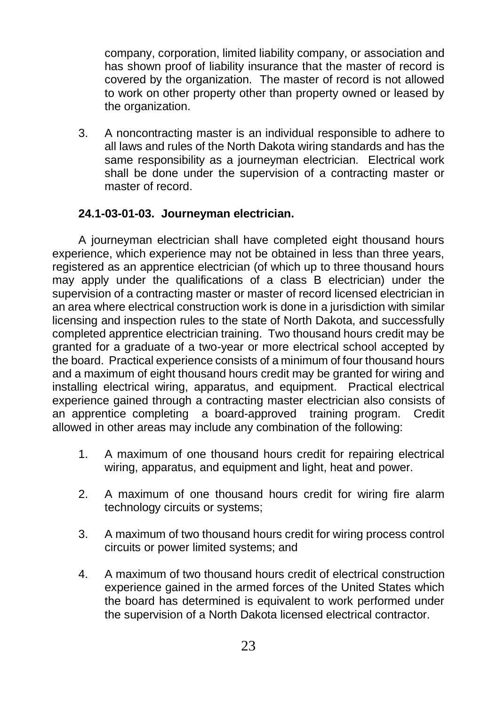company, corporation, limited liability company, or association and has shown proof of liability insurance that the master of record is covered by the organization. The master of record is not allowed to work on other property other than property owned or leased by the organization.

3. A noncontracting master is an individual responsible to adhere to all laws and rules of the North Dakota wiring standards and has the same responsibility as a journeyman electrician. Electrical work shall be done under the supervision of a contracting master or master of record.

#### **24.1-03-01-03. Journeyman electrician.**

A journeyman electrician shall have completed eight thousand hours experience, which experience may not be obtained in less than three years, registered as an apprentice electrician (of which up to three thousand hours may apply under the qualifications of a class B electrician) under the supervision of a contracting master or master of record licensed electrician in an area where electrical construction work is done in a jurisdiction with similar licensing and inspection rules to the state of North Dakota, and successfully completed apprentice electrician training. Two thousand hours credit may be granted for a graduate of a two-year or more electrical school accepted by the board. Practical experience consists of a minimum of four thousand hours and a maximum of eight thousand hours credit may be granted for wiring and installing electrical wiring, apparatus, and equipment. Practical electrical experience gained through a contracting master electrician also consists of an apprentice completing a board-approved training program. Credit allowed in other areas may include any combination of the following:

- 1. A maximum of one thousand hours credit for repairing electrical wiring, apparatus, and equipment and light, heat and power.
- 2. A maximum of one thousand hours credit for wiring fire alarm technology circuits or systems;
- 3. A maximum of two thousand hours credit for wiring process control circuits or power limited systems; and
- 4. A maximum of two thousand hours credit of electrical construction experience gained in the armed forces of the United States which the board has determined is equivalent to work performed under the supervision of a North Dakota licensed electrical contractor.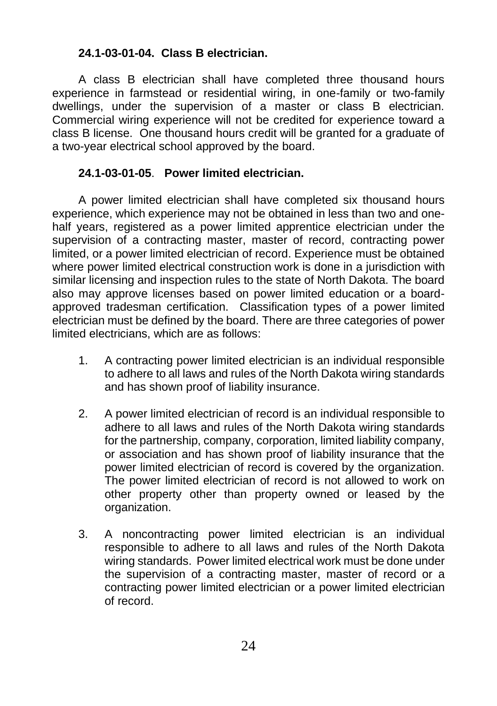#### **24.1-03-01-04. Class B electrician.**

A class B electrician shall have completed three thousand hours experience in farmstead or residential wiring, in one-family or two-family dwellings, under the supervision of a master or class B electrician. Commercial wiring experience will not be credited for experience toward a class B license. One thousand hours credit will be granted for a graduate of a two-year electrical school approved by the board.

#### **24.1-03-01-05**. **Power limited electrician.**

A power limited electrician shall have completed six thousand hours experience, which experience may not be obtained in less than two and onehalf years, registered as a power limited apprentice electrician under the supervision of a contracting master, master of record, contracting power limited, or a power limited electrician of record. Experience must be obtained where power limited electrical construction work is done in a jurisdiction with similar licensing and inspection rules to the state of North Dakota. The board also may approve licenses based on power limited education or a boardapproved tradesman certification. Classification types of a power limited electrician must be defined by the board. There are three categories of power limited electricians, which are as follows:

- 1. A contracting power limited electrician is an individual responsible to adhere to all laws and rules of the North Dakota wiring standards and has shown proof of liability insurance.
- 2. A power limited electrician of record is an individual responsible to adhere to all laws and rules of the North Dakota wiring standards for the partnership, company, corporation, limited liability company, or association and has shown proof of liability insurance that the power limited electrician of record is covered by the organization. The power limited electrician of record is not allowed to work on other property other than property owned or leased by the organization.
- 3. A noncontracting power limited electrician is an individual responsible to adhere to all laws and rules of the North Dakota wiring standards. Power limited electrical work must be done under the supervision of a contracting master, master of record or a contracting power limited electrician or a power limited electrician of record.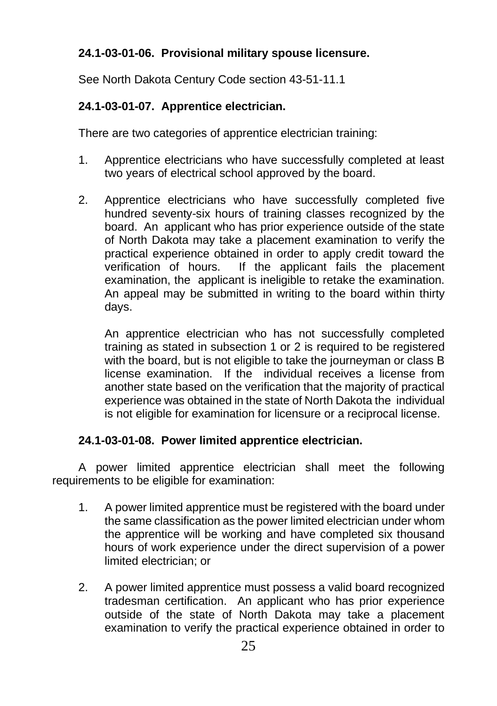#### **24.1-03-01-06. Provisional military spouse licensure.**

See North Dakota Century Code section 43-51-11.1

#### **24.1-03-01-07. Apprentice electrician.**

There are two categories of apprentice electrician training:

- 1. Apprentice electricians who have successfully completed at least two years of electrical school approved by the board.
- 2. Apprentice electricians who have successfully completed five hundred seventy-six hours of training classes recognized by the board. An applicant who has prior experience outside of the state of North Dakota may take a placement examination to verify the practical experience obtained in order to apply credit toward the verification of hours. If the applicant fails the placement examination, the applicant is ineligible to retake the examination. An appeal may be submitted in writing to the board within thirty days.

An apprentice electrician who has not successfully completed training as stated in subsection 1 or 2 is required to be registered with the board, but is not eligible to take the journeyman or class B license examination. If the individual receives a license from another state based on the verification that the majority of practical experience was obtained in the state of North Dakota the individual is not eligible for examination for licensure or a reciprocal license.

#### **24.1-03-01-08. Power limited apprentice electrician.**

A power limited apprentice electrician shall meet the following requirements to be eligible for examination:

- 1. A power limited apprentice must be registered with the board under the same classification as the power limited electrician under whom the apprentice will be working and have completed six thousand hours of work experience under the direct supervision of a power limited electrician; or
- 2. A power limited apprentice must possess a valid board recognized tradesman certification. An applicant who has prior experience outside of the state of North Dakota may take a placement examination to verify the practical experience obtained in order to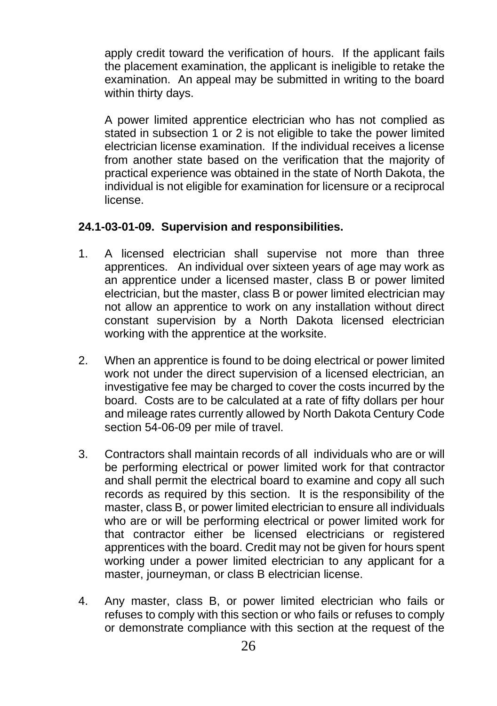apply credit toward the verification of hours. If the applicant fails the placement examination, the applicant is ineligible to retake the examination. An appeal may be submitted in writing to the board within thirty days.

A power limited apprentice electrician who has not complied as stated in subsection 1 or 2 is not eligible to take the power limited electrician license examination. If the individual receives a license from another state based on the verification that the majority of practical experience was obtained in the state of North Dakota, the individual is not eligible for examination for licensure or a reciprocal license.

#### **24.1-03-01-09. Supervision and responsibilities.**

- 1. A licensed electrician shall supervise not more than three apprentices. An individual over sixteen years of age may work as an apprentice under a licensed master, class B or power limited electrician, but the master, class B or power limited electrician may not allow an apprentice to work on any installation without direct constant supervision by a North Dakota licensed electrician working with the apprentice at the worksite.
- 2. When an apprentice is found to be doing electrical or power limited work not under the direct supervision of a licensed electrician, an investigative fee may be charged to cover the costs incurred by the board. Costs are to be calculated at a rate of fifty dollars per hour and mileage rates currently allowed by North Dakota Century Code section 54-06-09 per mile of travel.
- 3. Contractors shall maintain records of all individuals who are or will be performing electrical or power limited work for that contractor and shall permit the electrical board to examine and copy all such records as required by this section. It is the responsibility of the master, class B, or power limited electrician to ensure all individuals who are or will be performing electrical or power limited work for that contractor either be licensed electricians or registered apprentices with the board. Credit may not be given for hours spent working under a power limited electrician to any applicant for a master, journeyman, or class B electrician license.
- 4. Any master, class B, or power limited electrician who fails or refuses to comply with this section or who fails or refuses to comply or demonstrate compliance with this section at the request of the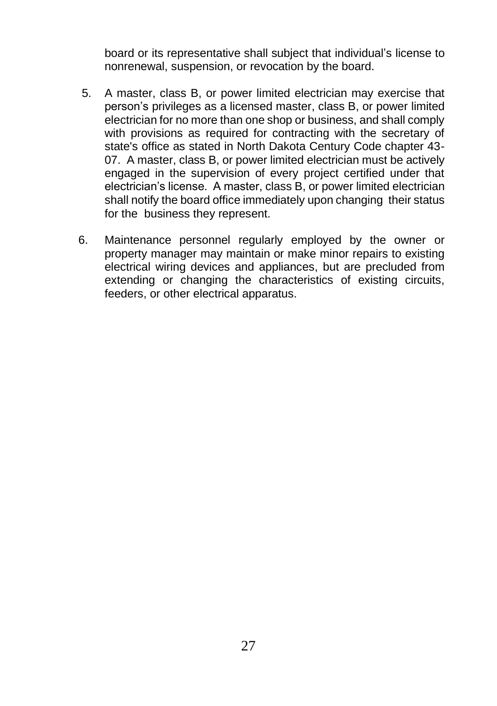board or its representative shall subject that individual's license to nonrenewal, suspension, or revocation by the board.

- 5. A master, class B, or power limited electrician may exercise that person's privileges as a licensed master, class B, or power limited electrician for no more than one shop or business, and shall comply with provisions as required for contracting with the secretary of state's office as stated in North Dakota Century Code chapter 43- 07. A master, class B, or power limited electrician must be actively engaged in the supervision of every project certified under that electrician's license. A master, class B, or power limited electrician shall notify the board office immediately upon changing their status for the business they represent.
- 6. Maintenance personnel regularly employed by the owner or property manager may maintain or make minor repairs to existing electrical wiring devices and appliances, but are precluded from extending or changing the characteristics of existing circuits, feeders, or other electrical apparatus.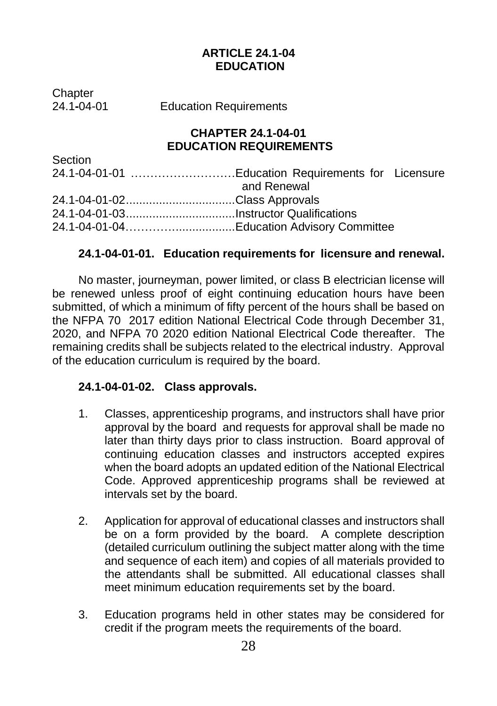#### **ARTICLE 24.1-04 EDUCATION**

Chapter<br>24 1-04-01

**Education Requirements** 

#### **CHAPTER 24.1-04-01 EDUCATION REQUIREMENTS**

| Section                      |                                                    |  |
|------------------------------|----------------------------------------------------|--|
|                              | 24.1-04-01-01 Education Requirements for Licensure |  |
|                              | and Renewal                                        |  |
| 24.1-04-01-02Class Approvals |                                                    |  |
|                              |                                                    |  |
|                              |                                                    |  |

#### **24.1-04-01-01. Education requirements for licensure and renewal.**

No master, journeyman, power limited, or class B electrician license will be renewed unless proof of eight continuing education hours have been submitted, of which a minimum of fifty percent of the hours shall be based on the NFPA 70 2017 edition National Electrical Code through December 31, 2020, and NFPA 70 2020 edition National Electrical Code thereafter. The remaining credits shall be subjects related to the electrical industry. Approval of the education curriculum is required by the board.

#### **24.1-04-01-02. Class approvals.**

- 1. Classes, apprenticeship programs, and instructors shall have prior approval by the board and requests for approval shall be made no later than thirty days prior to class instruction. Board approval of continuing education classes and instructors accepted expires when the board adopts an updated edition of the National Electrical Code. Approved apprenticeship programs shall be reviewed at intervals set by the board.
- 2. Application for approval of educational classes and instructors shall be on a form provided by the board. A complete description (detailed curriculum outlining the subject matter along with the time and sequence of each item) and copies of all materials provided to the attendants shall be submitted. All educational classes shall meet minimum education requirements set by the board.
- 3. Education programs held in other states may be considered for credit if the program meets the requirements of the board.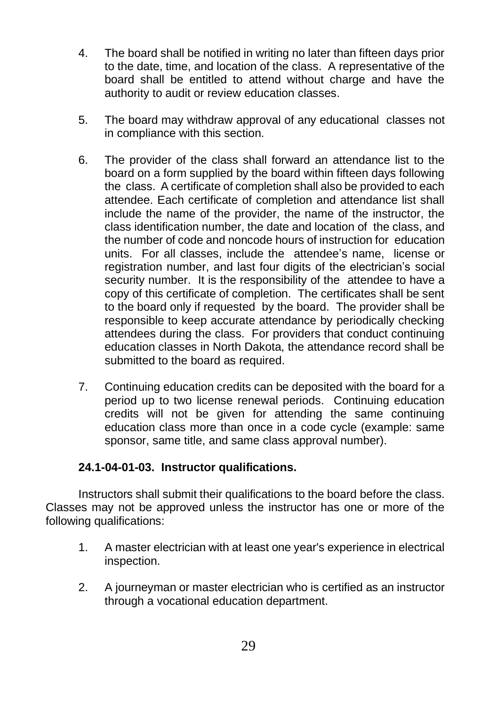- 4. The board shall be notified in writing no later than fifteen days prior to the date, time, and location of the class. A representative of the board shall be entitled to attend without charge and have the authority to audit or review education classes.
- 5. The board may withdraw approval of any educational classes not in compliance with this section.
- 6. The provider of the class shall forward an attendance list to the board on a form supplied by the board within fifteen days following the class. A certificate of completion shall also be provided to each attendee. Each certificate of completion and attendance list shall include the name of the provider, the name of the instructor, the class identification number, the date and location of the class, and the number of code and noncode hours of instruction for education units. For all classes, include the attendee's name, license or registration number, and last four digits of the electrician's social security number. It is the responsibility of the attendee to have a copy of this certificate of completion. The certificates shall be sent to the board only if requested by the board. The provider shall be responsible to keep accurate attendance by periodically checking attendees during the class. For providers that conduct continuing education classes in North Dakota, the attendance record shall be submitted to the board as required.
- 7. Continuing education credits can be deposited with the board for a period up to two license renewal periods. Continuing education credits will not be given for attending the same continuing education class more than once in a code cycle (example: same sponsor, same title, and same class approval number).

#### **24.1-04-01-03. Instructor qualifications.**

Instructors shall submit their qualifications to the board before the class. Classes may not be approved unless the instructor has one or more of the following qualifications:

- 1. A master electrician with at least one year's experience in electrical inspection.
- 2. A journeyman or master electrician who is certified as an instructor through a vocational education department.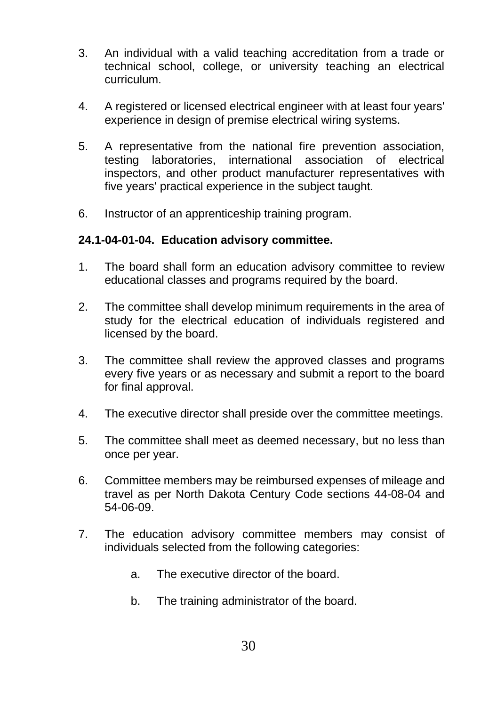- 3. An individual with a valid teaching accreditation from a trade or technical school, college, or university teaching an electrical curriculum.
- 4. A registered or licensed electrical engineer with at least four years' experience in design of premise electrical wiring systems.
- 5. A representative from the national fire prevention association, testing laboratories, international association of electrical inspectors, and other product manufacturer representatives with five years' practical experience in the subject taught.
- 6. Instructor of an apprenticeship training program.

#### **24.1-04-01-04. Education advisory committee.**

- 1. The board shall form an education advisory committee to review educational classes and programs required by the board.
- 2. The committee shall develop minimum requirements in the area of study for the electrical education of individuals registered and licensed by the board.
- 3. The committee shall review the approved classes and programs every five years or as necessary and submit a report to the board for final approval.
- 4. The executive director shall preside over the committee meetings.
- 5. The committee shall meet as deemed necessary, but no less than once per year.
- 6. Committee members may be reimbursed expenses of mileage and travel as per North Dakota Century Code sections 44-08-04 and 54-06-09.
- 7. The education advisory committee members may consist of individuals selected from the following categories:
	- a. The executive director of the board.
	- b. The training administrator of the board.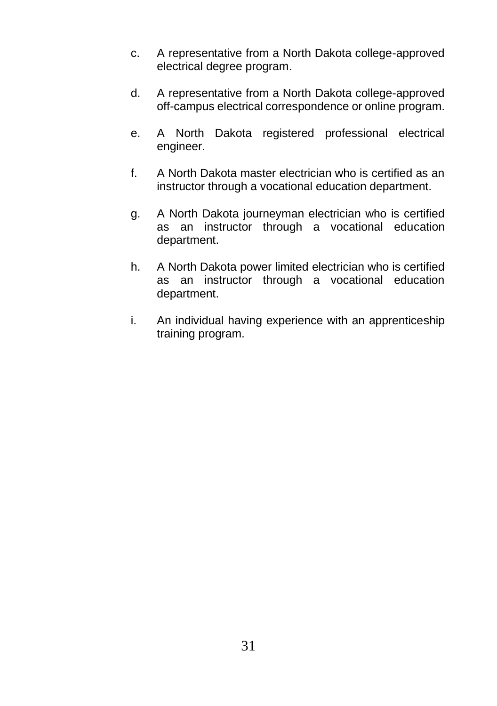- c. A representative from a North Dakota college-approved electrical degree program.
- d. A representative from a North Dakota college-approved off-campus electrical correspondence or online program.
- e. A North Dakota registered professional electrical engineer.
- f. A North Dakota master electrician who is certified as an instructor through a vocational education department.
- g. A North Dakota journeyman electrician who is certified as an instructor through a vocational education department.
- h. A North Dakota power limited electrician who is certified as an instructor through a vocational education department.
- i. An individual having experience with an apprenticeship training program.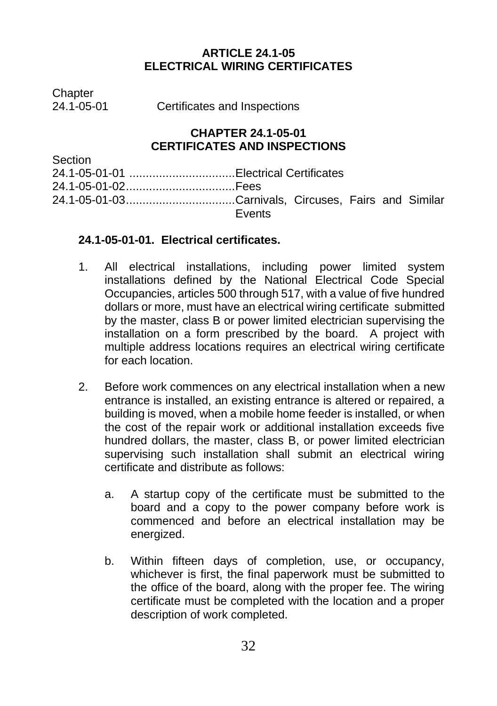#### **ARTICLE 24.1-05 ELECTRICAL WIRING CERTIFICATES**

Chapter<br>24 1-05-01

Certificates and Inspections

#### **CHAPTER 24.1-05-01 CERTIFICATES AND INSPECTIONS**

Section

| 24.1-05-01-02Fees |               |  |  |
|-------------------|---------------|--|--|
|                   |               |  |  |
|                   | <b>Fvents</b> |  |  |

#### **24.1-05-01-01. Electrical certificates.**

- 1. All electrical installations, including power limited system installations defined by the National Electrical Code Special Occupancies, articles 500 through 517, with a value of five hundred dollars or more, must have an electrical wiring certificate submitted by the master, class B or power limited electrician supervising the installation on a form prescribed by the board. A project with multiple address locations requires an electrical wiring certificate for each location.
- 2. Before work commences on any electrical installation when a new entrance is installed, an existing entrance is altered or repaired, a building is moved, when a mobile home feeder is installed, or when the cost of the repair work or additional installation exceeds five hundred dollars, the master, class B, or power limited electrician supervising such installation shall submit an electrical wiring certificate and distribute as follows:
	- a. A startup copy of the certificate must be submitted to the board and a copy to the power company before work is commenced and before an electrical installation may be energized.
	- b. Within fifteen days of completion, use, or occupancy, whichever is first, the final paperwork must be submitted to the office of the board, along with the proper fee. The wiring certificate must be completed with the location and a proper description of work completed.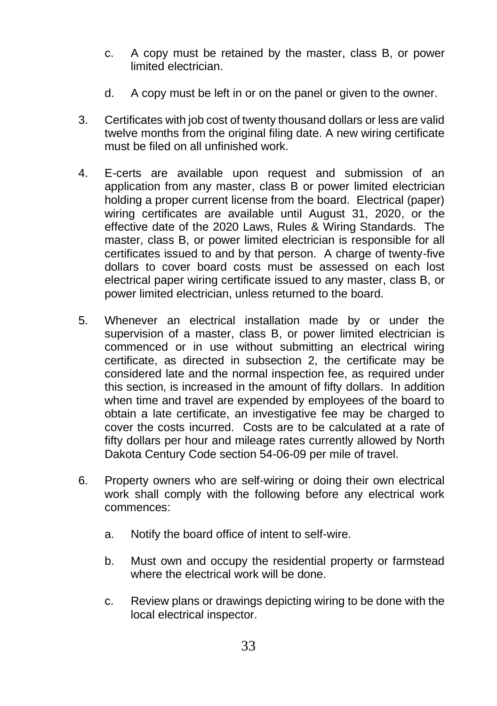- c. A copy must be retained by the master, class B, or power limited electrician.
- d. A copy must be left in or on the panel or given to the owner.
- 3. Certificates with job cost of twenty thousand dollars or less are valid twelve months from the original filing date. A new wiring certificate must be filed on all unfinished work.
- 4. E-certs are available upon request and submission of an application from any master, class B or power limited electrician holding a proper current license from the board. Electrical (paper) wiring certificates are available until August 31, 2020, or the effective date of the 2020 Laws, Rules & Wiring Standards. The master, class B, or power limited electrician is responsible for all certificates issued to and by that person. A charge of twenty-five dollars to cover board costs must be assessed on each lost electrical paper wiring certificate issued to any master, class B, or power limited electrician, unless returned to the board.
- 5. Whenever an electrical installation made by or under the supervision of a master, class B, or power limited electrician is commenced or in use without submitting an electrical wiring certificate, as directed in subsection 2, the certificate may be considered late and the normal inspection fee, as required under this section, is increased in the amount of fifty dollars. In addition when time and travel are expended by employees of the board to obtain a late certificate, an investigative fee may be charged to cover the costs incurred. Costs are to be calculated at a rate of fifty dollars per hour and mileage rates currently allowed by North Dakota Century Code section 54-06-09 per mile of travel.
- 6. Property owners who are self-wiring or doing their own electrical work shall comply with the following before any electrical work commences:
	- a. Notify the board office of intent to self-wire.
	- b. Must own and occupy the residential property or farmstead where the electrical work will be done.
	- c. Review plans or drawings depicting wiring to be done with the local electrical inspector.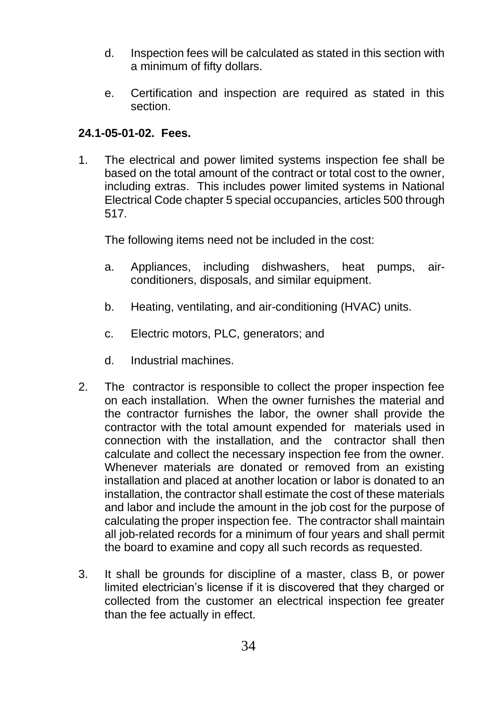- d. Inspection fees will be calculated as stated in this section with a minimum of fifty dollars.
- e. Certification and inspection are required as stated in this section.

#### **24.1-05-01-02. Fees.**

1. The electrical and power limited systems inspection fee shall be based on the total amount of the contract or total cost to the owner, including extras. This includes power limited systems in National Electrical Code chapter 5 special occupancies, articles 500 through 517.

The following items need not be included in the cost:

- a. Appliances, including dishwashers, heat pumps, airconditioners, disposals, and similar equipment.
- b. Heating, ventilating, and air-conditioning (HVAC) units.
- c. Electric motors, PLC, generators; and
- d. Industrial machines.
- 2. The contractor is responsible to collect the proper inspection fee on each installation. When the owner furnishes the material and the contractor furnishes the labor, the owner shall provide the contractor with the total amount expended for materials used in connection with the installation, and the contractor shall then calculate and collect the necessary inspection fee from the owner. Whenever materials are donated or removed from an existing installation and placed at another location or labor is donated to an installation, the contractor shall estimate the cost of these materials and labor and include the amount in the job cost for the purpose of calculating the proper inspection fee. The contractor shall maintain all job-related records for a minimum of four years and shall permit the board to examine and copy all such records as requested.
- 3. It shall be grounds for discipline of a master, class B, or power limited electrician's license if it is discovered that they charged or collected from the customer an electrical inspection fee greater than the fee actually in effect.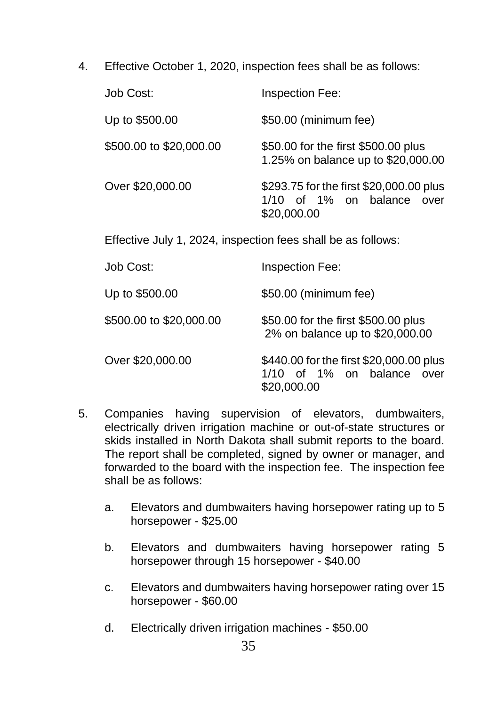4. Effective October 1, 2020, inspection fees shall be as follows:

| Job Cost:                                                    | Inspection Fee:                                                                         |
|--------------------------------------------------------------|-----------------------------------------------------------------------------------------|
| Up to \$500.00                                               | \$50.00 (minimum fee)                                                                   |
| \$500.00 to \$20,000.00                                      | \$50.00 for the first \$500.00 plus<br>1.25% on balance up to \$20,000.00               |
| Over \$20,000,00                                             | \$293.75 for the first \$20,000.00 plus<br>1/10 of 1% on balance over<br>\$20,000.00    |
| Effective July 1, 2024, inspection fees shall be as follows: |                                                                                         |
| Job Cost:                                                    | Inspection Fee:                                                                         |
| Up to \$500.00                                               | \$50.00 (minimum fee)                                                                   |
| \$500.00 to \$20,000.00                                      | \$50.00 for the first \$500.00 plus<br>2% on balance up to \$20,000.00                  |
| Over \$20,000.00                                             | \$440.00 for the first \$20,000.00 plus<br>1/10 of 1% on balance<br>over<br>\$20,000.00 |

- 5. Companies having supervision of elevators, dumbwaiters, electrically driven irrigation machine or out-of-state structures or skids installed in North Dakota shall submit reports to the board. The report shall be completed, signed by owner or manager, and forwarded to the board with the inspection fee. The inspection fee shall be as follows:
	- a. Elevators and dumbwaiters having horsepower rating up to 5 horsepower - \$25.00
	- b. Elevators and dumbwaiters having horsepower rating 5 horsepower through 15 horsepower - \$40.00
	- c. Elevators and dumbwaiters having horsepower rating over 15 horsepower - \$60.00
	- d. Electrically driven irrigation machines \$50.00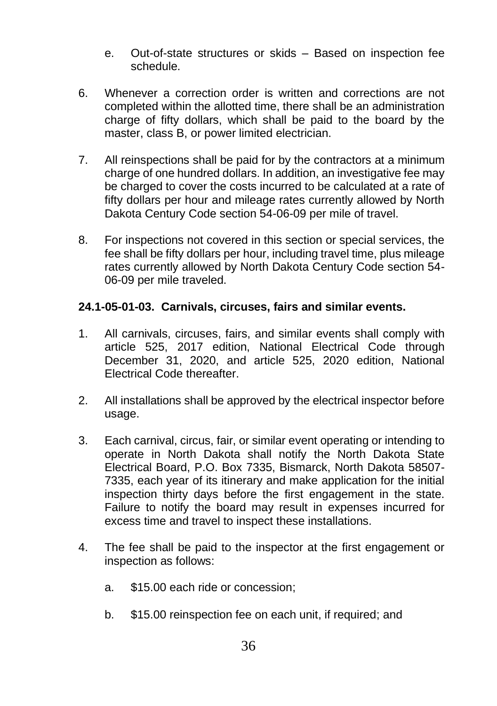- e. Out-of-state structures or skids Based on inspection fee schedule.
- 6. Whenever a correction order is written and corrections are not completed within the allotted time, there shall be an administration charge of fifty dollars, which shall be paid to the board by the master, class B, or power limited electrician.
- 7. All reinspections shall be paid for by the contractors at a minimum charge of one hundred dollars. In addition, an investigative fee may be charged to cover the costs incurred to be calculated at a rate of fifty dollars per hour and mileage rates currently allowed by North Dakota Century Code section 54-06-09 per mile of travel.
- 8. For inspections not covered in this section or special services, the fee shall be fifty dollars per hour, including travel time, plus mileage rates currently allowed by North Dakota Century Code section 54- 06-09 per mile traveled.

#### **24.1-05-01-03. Carnivals, circuses, fairs and similar events.**

- 1. All carnivals, circuses, fairs, and similar events shall comply with article 525, 2017 edition, National Electrical Code through December 31, 2020, and article 525, 2020 edition, National Electrical Code thereafter.
- 2. All installations shall be approved by the electrical inspector before usage.
- 3. Each carnival, circus, fair, or similar event operating or intending to operate in North Dakota shall notify the North Dakota State Electrical Board, P.O. Box 7335, Bismarck, North Dakota 58507- 7335, each year of its itinerary and make application for the initial inspection thirty days before the first engagement in the state. Failure to notify the board may result in expenses incurred for excess time and travel to inspect these installations.
- 4. The fee shall be paid to the inspector at the first engagement or inspection as follows:
	- a. \$15.00 each ride or concession;
	- b. \$15.00 reinspection fee on each unit, if required; and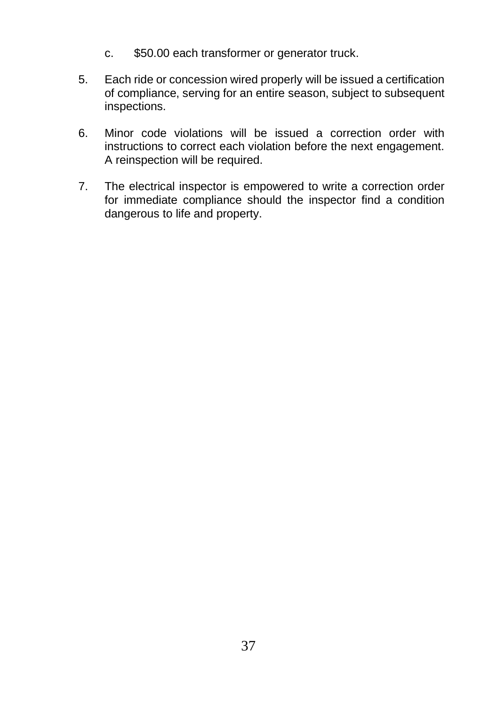- c. \$50.00 each transformer or generator truck.
- 5. Each ride or concession wired properly will be issued a certification of compliance, serving for an entire season, subject to subsequent inspections.
- 6. Minor code violations will be issued a correction order with instructions to correct each violation before the next engagement. A reinspection will be required.
- 7. The electrical inspector is empowered to write a correction order for immediate compliance should the inspector find a condition dangerous to life and property.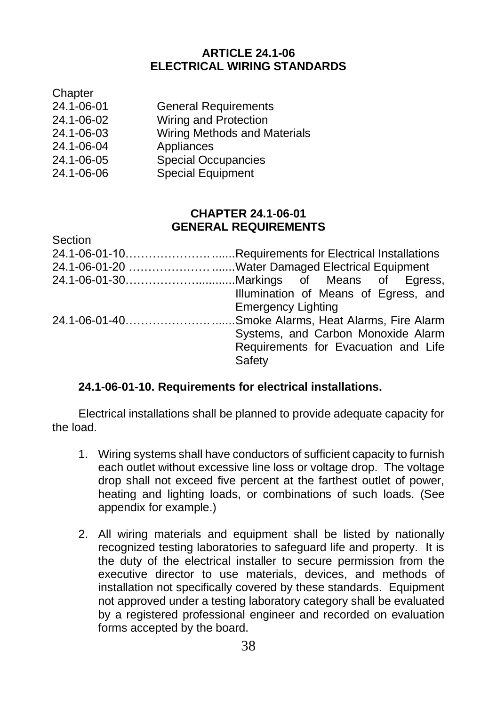#### **ARTICLE 24.1-06 ELECTRICAL WIRING STANDARDS**

| Chapter    |                              |
|------------|------------------------------|
| 24.1-06-01 | <b>General Requirements</b>  |
| 24.1-06-02 | Wiring and Protection        |
| 24.1-06-03 | Wiring Methods and Materials |
| 24.1-06-04 | Appliances                   |
| 24.1-06-05 | <b>Special Occupancies</b>   |
| 24.1-06-06 | Special Equipment            |
|            |                              |

#### **CHAPTER 24.1-06-01 GENERAL REQUIREMENTS**

| Section |                                                  |
|---------|--------------------------------------------------|
|         |                                                  |
|         | 24.1-06-01-20 Water Damaged Electrical Equipment |
|         |                                                  |
|         | Illumination of Means of Egress, and             |
|         | <b>Emergency Lighting</b>                        |
|         |                                                  |
|         | Systems, and Carbon Monoxide Alarm               |
|         | Requirements for Evacuation and Life             |
|         | Safety                                           |
|         |                                                  |

#### **24.1-06-01-10. Requirements for electrical installations.**

Electrical installations shall be planned to provide adequate capacity for the load.

- 1. Wiring systems shall have conductors of sufficient capacity to furnish each outlet without excessive line loss or voltage drop. The voltage drop shall not exceed five percent at the farthest outlet of power, heating and lighting loads, or combinations of such loads. (See appendix for example.)
- 2. All wiring materials and equipment shall be listed by nationally recognized testing laboratories to safeguard life and property. It is the duty of the electrical installer to secure permission from the executive director to use materials, devices, and methods of installation not specifically covered by these standards. Equipment not approved under a testing laboratory category shall be evaluated by a registered professional engineer and recorded on evaluation forms accepted by the board.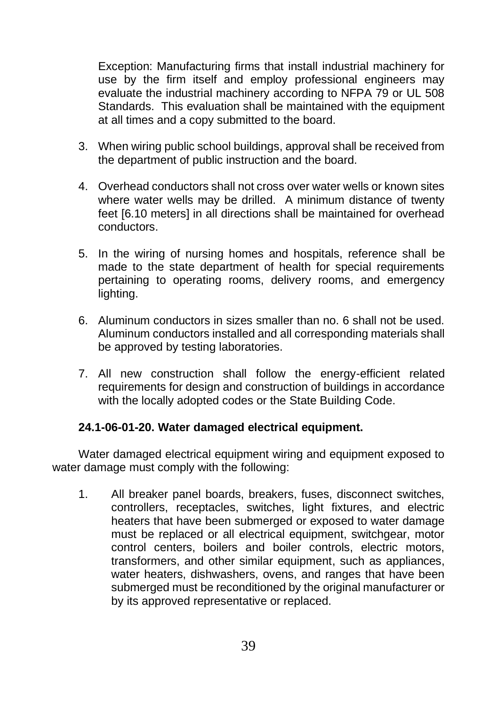Exception: Manufacturing firms that install industrial machinery for use by the firm itself and employ professional engineers may evaluate the industrial machinery according to NFPA 79 or UL 508 Standards. This evaluation shall be maintained with the equipment at all times and a copy submitted to the board.

- 3. When wiring public school buildings, approval shall be received from the department of public instruction and the board.
- 4. Overhead conductors shall not cross over water wells or known sites where water wells may be drilled. A minimum distance of twenty feet [6.10 meters] in all directions shall be maintained for overhead conductors.
- 5. In the wiring of nursing homes and hospitals, reference shall be made to the state department of health for special requirements pertaining to operating rooms, delivery rooms, and emergency lighting.
- 6. Aluminum conductors in sizes smaller than no. 6 shall not be used. Aluminum conductors installed and all corresponding materials shall be approved by testing laboratories.
- 7. All new construction shall follow the energy-efficient related requirements for design and construction of buildings in accordance with the locally adopted codes or the State Building Code.

#### **24.1-06-01-20. Water damaged electrical equipment.**

Water damaged electrical equipment wiring and equipment exposed to water damage must comply with the following:

1. All breaker panel boards, breakers, fuses, disconnect switches, controllers, receptacles, switches, light fixtures, and electric heaters that have been submerged or exposed to water damage must be replaced or all electrical equipment, switchgear, motor control centers, boilers and boiler controls, electric motors, transformers, and other similar equipment, such as appliances, water heaters, dishwashers, ovens, and ranges that have been submerged must be reconditioned by the original manufacturer or by its approved representative or replaced.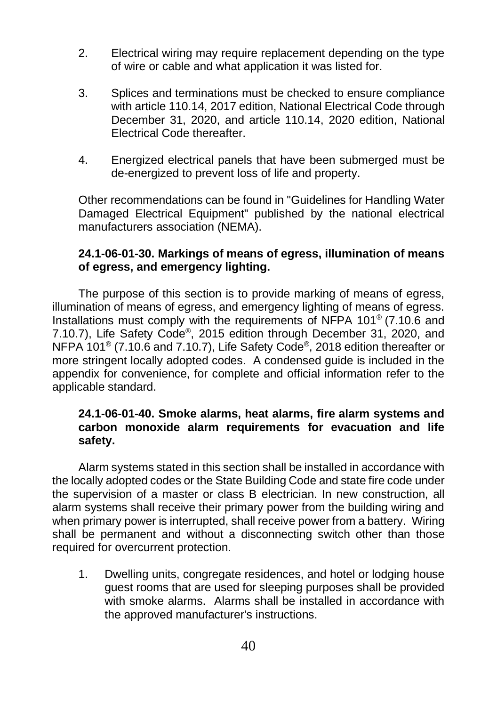- 2. Electrical wiring may require replacement depending on the type of wire or cable and what application it was listed for.
- 3. Splices and terminations must be checked to ensure compliance with article 110.14, 2017 edition, National Electrical Code through December 31, 2020, and article 110.14, 2020 edition, National Electrical Code thereafter.
- 4. Energized electrical panels that have been submerged must be de-energized to prevent loss of life and property.

Other recommendations can be found in "Guidelines for Handling Water Damaged Electrical Equipment" published by the national electrical manufacturers association (NEMA).

#### **24.1-06-01-30. Markings of means of egress, illumination of means of egress, and emergency lighting.**

The purpose of this section is to provide marking of means of egress, illumination of means of egress, and emergency lighting of means of egress. Installations must comply with the requirements of NFPA 101® (7.10.6 and 7.10.7), Life Safety Code® , 2015 edition through December 31, 2020, and NFPA 101<sup>®</sup> (7.10.6 and 7.10.7), Life Safety Code<sup>®</sup>, 2018 edition thereafter or more stringent locally adopted codes. A condensed guide is included in the appendix for convenience, for complete and official information refer to the applicable standard.

#### **24.1-06-01-40. Smoke alarms, heat alarms, fire alarm systems and carbon monoxide alarm requirements for evacuation and life safety.**

Alarm systems stated in this section shall be installed in accordance with the locally adopted codes or the State Building Code and state fire code under the supervision of a master or class B electrician. In new construction, all alarm systems shall receive their primary power from the building wiring and when primary power is interrupted, shall receive power from a battery. Wiring shall be permanent and without a disconnecting switch other than those required for overcurrent protection.

1. Dwelling units, congregate residences, and hotel or lodging house guest rooms that are used for sleeping purposes shall be provided with smoke alarms. Alarms shall be installed in accordance with the approved manufacturer's instructions.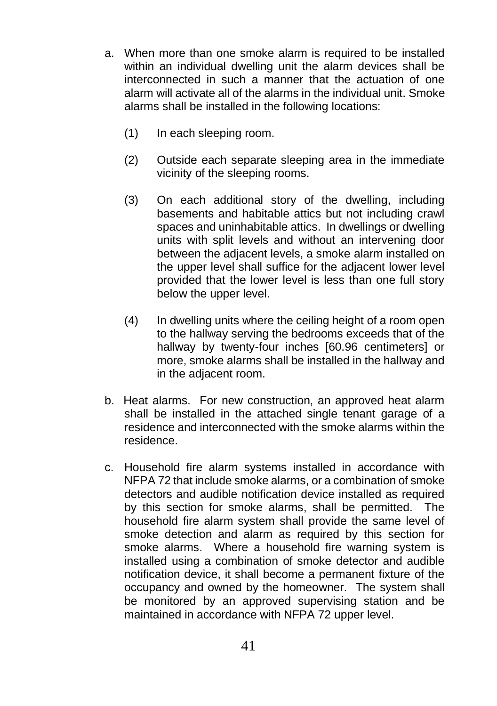- a. When more than one smoke alarm is required to be installed within an individual dwelling unit the alarm devices shall be interconnected in such a manner that the actuation of one alarm will activate all of the alarms in the individual unit. Smoke alarms shall be installed in the following locations:
	- (1) In each sleeping room.
	- (2) Outside each separate sleeping area in the immediate vicinity of the sleeping rooms.
	- (3) On each additional story of the dwelling, including basements and habitable attics but not including crawl spaces and uninhabitable attics. In dwellings or dwelling units with split levels and without an intervening door between the adjacent levels, a smoke alarm installed on the upper level shall suffice for the adjacent lower level provided that the lower level is less than one full story below the upper level.
	- (4) In dwelling units where the ceiling height of a room open to the hallway serving the bedrooms exceeds that of the hallway by twenty-four inches [60.96 centimeters] or more, smoke alarms shall be installed in the hallway and in the adjacent room.
- b. Heat alarms. For new construction, an approved heat alarm shall be installed in the attached single tenant garage of a residence and interconnected with the smoke alarms within the residence.
- c. Household fire alarm systems installed in accordance with NFPA 72 that include smoke alarms, or a combination of smoke detectors and audible notification device installed as required by this section for smoke alarms, shall be permitted. The household fire alarm system shall provide the same level of smoke detection and alarm as required by this section for smoke alarms. Where a household fire warning system is installed using a combination of smoke detector and audible notification device, it shall become a permanent fixture of the occupancy and owned by the homeowner. The system shall be monitored by an approved supervising station and be maintained in accordance with NFPA 72 upper level.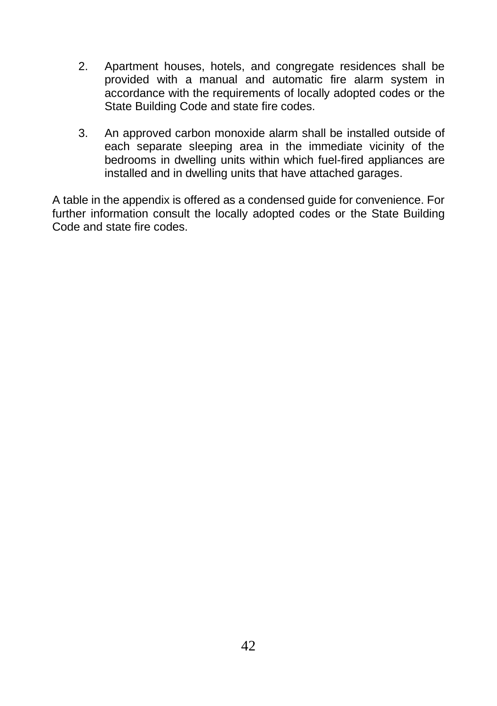- 2. Apartment houses, hotels, and congregate residences shall be provided with a manual and automatic fire alarm system in accordance with the requirements of locally adopted codes or the State Building Code and state fire codes.
- 3. An approved carbon monoxide alarm shall be installed outside of each separate sleeping area in the immediate vicinity of the bedrooms in dwelling units within which fuel-fired appliances are installed and in dwelling units that have attached garages.

A table in the appendix is offered as a condensed guide for convenience. For further information consult the locally adopted codes or the State Building Code and state fire codes.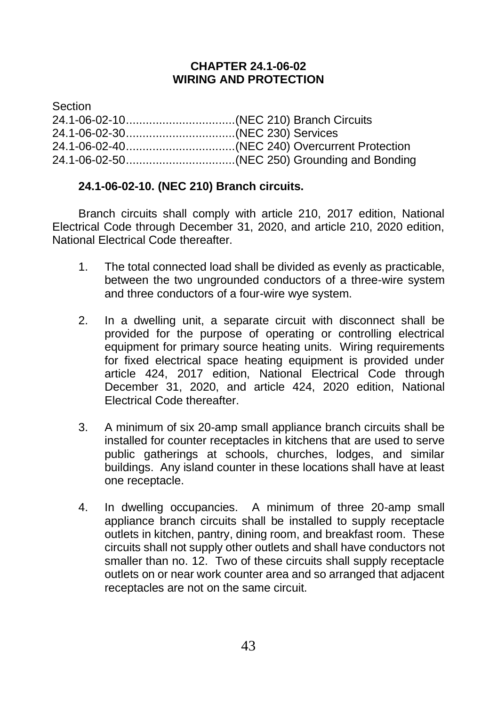#### **CHAPTER 24.1-06-02 WIRING AND PROTECTION**

**Section** 24.1-06-02-10.................................(NEC 210) Branch Circuits 24.1-06-02-30.................................(NEC 230) Services 24.1-06-02-40.................................(NEC 240) Overcurrent Protection 24.1-06-02-50.................................(NEC 250) Grounding and Bonding

#### **24.1-06-02-10. (NEC 210) Branch circuits.**

Branch circuits shall comply with article 210, 2017 edition, National Electrical Code through December 31, 2020, and article 210, 2020 edition, National Electrical Code thereafter.

- 1. The total connected load shall be divided as evenly as practicable, between the two ungrounded conductors of a three-wire system and three conductors of a four-wire wye system.
- 2. In a dwelling unit, a separate circuit with disconnect shall be provided for the purpose of operating or controlling electrical equipment for primary source heating units. Wiring requirements for fixed electrical space heating equipment is provided under article 424, 2017 edition, National Electrical Code through December 31, 2020, and article 424, 2020 edition, National Electrical Code thereafter.
- 3. A minimum of six 20-amp small appliance branch circuits shall be installed for counter receptacles in kitchens that are used to serve public gatherings at schools, churches, lodges, and similar buildings. Any island counter in these locations shall have at least one receptacle.
- 4. In dwelling occupancies. A minimum of three 20-amp small appliance branch circuits shall be installed to supply receptacle outlets in kitchen, pantry, dining room, and breakfast room. These circuits shall not supply other outlets and shall have conductors not smaller than no. 12. Two of these circuits shall supply receptacle outlets on or near work counter area and so arranged that adjacent receptacles are not on the same circuit.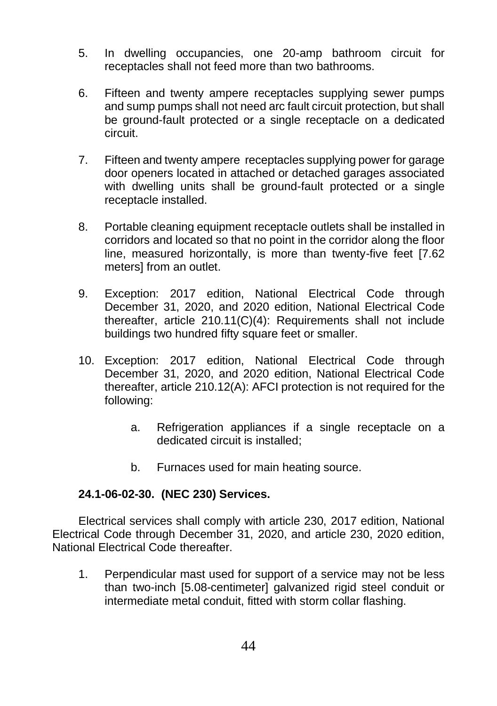- 5. In dwelling occupancies, one 20-amp bathroom circuit for receptacles shall not feed more than two bathrooms.
- 6. Fifteen and twenty ampere receptacles supplying sewer pumps and sump pumps shall not need arc fault circuit protection, but shall be ground-fault protected or a single receptacle on a dedicated circuit.
- 7. Fifteen and twenty ampere receptacles supplying power for garage door openers located in attached or detached garages associated with dwelling units shall be ground-fault protected or a single receptacle installed.
- 8. Portable cleaning equipment receptacle outlets shall be installed in corridors and located so that no point in the corridor along the floor line, measured horizontally, is more than twenty-five feet [7.62 meters] from an outlet.
- 9. Exception: 2017 edition, National Electrical Code through December 31, 2020, and 2020 edition, National Electrical Code thereafter, article 210.11(C)(4): Requirements shall not include buildings two hundred fifty square feet or smaller.
- 10. Exception: 2017 edition, National Electrical Code through December 31, 2020, and 2020 edition, National Electrical Code thereafter, article 210.12(A): AFCI protection is not required for the following:
	- a. Refrigeration appliances if a single receptacle on a dedicated circuit is installed;
	- b. Furnaces used for main heating source.

#### **24.1-06-02-30. (NEC 230) Services.**

Electrical services shall comply with article 230, 2017 edition, National Electrical Code through December 31, 2020, and article 230, 2020 edition, National Electrical Code thereafter.

1. Perpendicular mast used for support of a service may not be less than two-inch [5.08-centimeter] galvanized rigid steel conduit or intermediate metal conduit, fitted with storm collar flashing.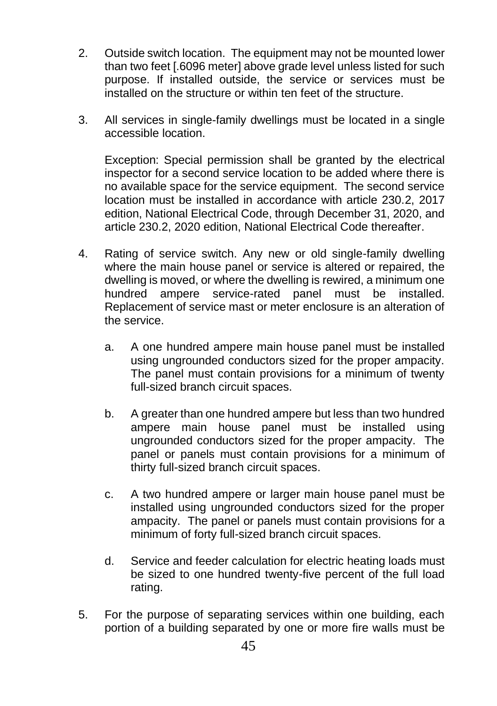- 2. Outside switch location. The equipment may not be mounted lower than two feet [.6096 meter] above grade level unless listed for such purpose. If installed outside, the service or services must be installed on the structure or within ten feet of the structure.
- 3. All services in single-family dwellings must be located in a single accessible location.

Exception: Special permission shall be granted by the electrical inspector for a second service location to be added where there is no available space for the service equipment. The second service location must be installed in accordance with article 230.2, 2017 edition, National Electrical Code, through December 31, 2020, and article 230.2, 2020 edition, National Electrical Code thereafter.

- 4. Rating of service switch. Any new or old single-family dwelling where the main house panel or service is altered or repaired, the dwelling is moved, or where the dwelling is rewired, a minimum one hundred ampere service-rated panel must be installed. Replacement of service mast or meter enclosure is an alteration of the service.
	- a. A one hundred ampere main house panel must be installed using ungrounded conductors sized for the proper ampacity. The panel must contain provisions for a minimum of twenty full-sized branch circuit spaces.
	- b. A greater than one hundred ampere but less than two hundred ampere main house panel must be installed using ungrounded conductors sized for the proper ampacity. The panel or panels must contain provisions for a minimum of thirty full-sized branch circuit spaces.
	- c. A two hundred ampere or larger main house panel must be installed using ungrounded conductors sized for the proper ampacity. The panel or panels must contain provisions for a minimum of forty full-sized branch circuit spaces.
	- d. Service and feeder calculation for electric heating loads must be sized to one hundred twenty-five percent of the full load rating.
- 5. For the purpose of separating services within one building, each portion of a building separated by one or more fire walls must be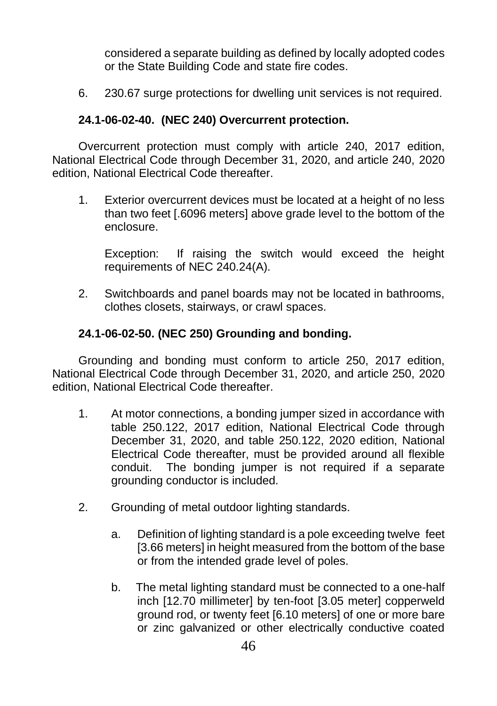considered a separate building as defined by locally adopted codes or the State Building Code and state fire codes.

6. 230.67 surge protections for dwelling unit services is not required.

#### **24.1-06-02-40. (NEC 240) Overcurrent protection.**

Overcurrent protection must comply with article 240, 2017 edition, National Electrical Code through December 31, 2020, and article 240, 2020 edition, National Electrical Code thereafter.

1. Exterior overcurrent devices must be located at a height of no less than two feet [.6096 meters] above grade level to the bottom of the enclosure.

Exception: If raising the switch would exceed the height requirements of NEC 240.24(A).

2. Switchboards and panel boards may not be located in bathrooms, clothes closets, stairways, or crawl spaces.

#### **24.1-06-02-50. (NEC 250) Grounding and bonding.**

Grounding and bonding must conform to article 250, 2017 edition, National Electrical Code through December 31, 2020, and article 250, 2020 edition, National Electrical Code thereafter.

- 1. At motor connections, a bonding jumper sized in accordance with table 250.122, 2017 edition, National Electrical Code through December 31, 2020, and table 250.122, 2020 edition, National Electrical Code thereafter, must be provided around all flexible conduit. The bonding jumper is not required if a separate grounding conductor is included.
- 2. Grounding of metal outdoor lighting standards.
	- a. Definition of lighting standard is a pole exceeding twelve feet [3.66 meters] in height measured from the bottom of the base or from the intended grade level of poles.
	- b. The metal lighting standard must be connected to a one-half inch [12.70 millimeter] by ten-foot [3.05 meter] copperweld ground rod, or twenty feet [6.10 meters] of one or more bare or zinc galvanized or other electrically conductive coated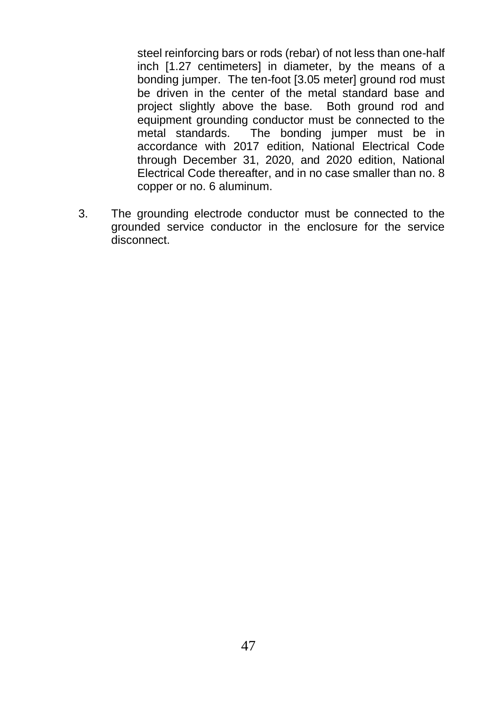steel reinforcing bars or rods (rebar) of not less than one-half inch [1.27 centimeters] in diameter, by the means of a bonding jumper. The ten-foot [3.05 meter] ground rod must be driven in the center of the metal standard base and project slightly above the base. Both ground rod and equipment grounding conductor must be connected to the metal standards. The bonding jumper must be in accordance with 2017 edition, National Electrical Code through December 31, 2020, and 2020 edition, National Electrical Code thereafter, and in no case smaller than no. 8 copper or no. 6 aluminum.

3. The grounding electrode conductor must be connected to the grounded service conductor in the enclosure for the service disconnect.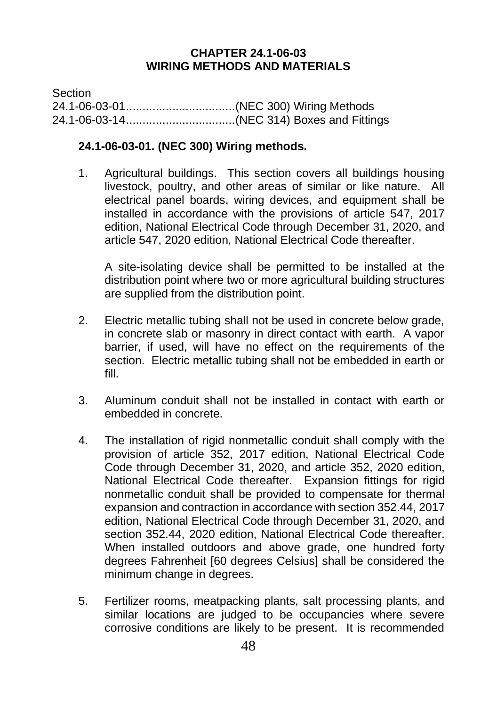#### **CHAPTER 24.1-06-03 WIRING METHODS AND MATERIALS**

Section 24.1-06-03-01.................................(NEC 300) Wiring Methods 24.1-06-03-14.................................(NEC 314) Boxes and Fittings

#### **24.1-06-03-01. (NEC 300) Wiring methods.**

1. Agricultural buildings. This section covers all buildings housing livestock, poultry, and other areas of similar or like nature. All electrical panel boards, wiring devices, and equipment shall be installed in accordance with the provisions of article 547, 2017 edition, National Electrical Code through December 31, 2020, and article 547, 2020 edition, National Electrical Code thereafter.

A site-isolating device shall be permitted to be installed at the distribution point where two or more agricultural building structures are supplied from the distribution point.

- 2. Electric metallic tubing shall not be used in concrete below grade, in concrete slab or masonry in direct contact with earth. A vapor barrier, if used, will have no effect on the requirements of the section. Electric metallic tubing shall not be embedded in earth or fill.
- 3. Aluminum conduit shall not be installed in contact with earth or embedded in concrete.
- 4. The installation of rigid nonmetallic conduit shall comply with the provision of article 352, 2017 edition, National Electrical Code Code through December 31, 2020, and article 352, 2020 edition, National Electrical Code thereafter. Expansion fittings for rigid nonmetallic conduit shall be provided to compensate for thermal expansion and contraction in accordance with section 352.44, 2017 edition, National Electrical Code through December 31, 2020, and section 352.44, 2020 edition, National Electrical Code thereafter. When installed outdoors and above grade, one hundred forty degrees Fahrenheit [60 degrees Celsius] shall be considered the minimum change in degrees.
- 5. Fertilizer rooms, meatpacking plants, salt processing plants, and similar locations are judged to be occupancies where severe corrosive conditions are likely to be present. It is recommended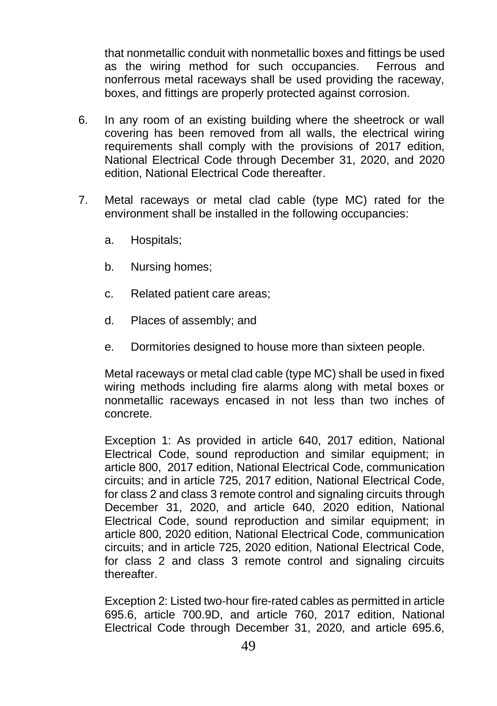that nonmetallic conduit with nonmetallic boxes and fittings be used as the wiring method for such occupancies. Ferrous and nonferrous metal raceways shall be used providing the raceway, boxes, and fittings are properly protected against corrosion.

- 6. In any room of an existing building where the sheetrock or wall covering has been removed from all walls, the electrical wiring requirements shall comply with the provisions of 2017 edition, National Electrical Code through December 31, 2020, and 2020 edition, National Electrical Code thereafter.
- 7. Metal raceways or metal clad cable (type MC) rated for the environment shall be installed in the following occupancies:
	- a. Hospitals;
	- b. Nursing homes;
	- c. Related patient care areas;
	- d. Places of assembly; and
	- e. Dormitories designed to house more than sixteen people.

Metal raceways or metal clad cable (type MC) shall be used in fixed wiring methods including fire alarms along with metal boxes or nonmetallic raceways encased in not less than two inches of concrete.

Exception 1: As provided in article 640, 2017 edition, National Electrical Code, sound reproduction and similar equipment; in article 800, 2017 edition, National Electrical Code, communication circuits; and in article 725, 2017 edition, National Electrical Code, for class 2 and class 3 remote control and signaling circuits through December 31, 2020, and article 640, 2020 edition, National Electrical Code, sound reproduction and similar equipment; in article 800, 2020 edition, National Electrical Code, communication circuits; and in article 725, 2020 edition, National Electrical Code, for class 2 and class 3 remote control and signaling circuits thereafter.

Exception 2: Listed two-hour fire-rated cables as permitted in article 695.6, article 700.9D, and article 760, 2017 edition, National Electrical Code through December 31, 2020, and article 695.6,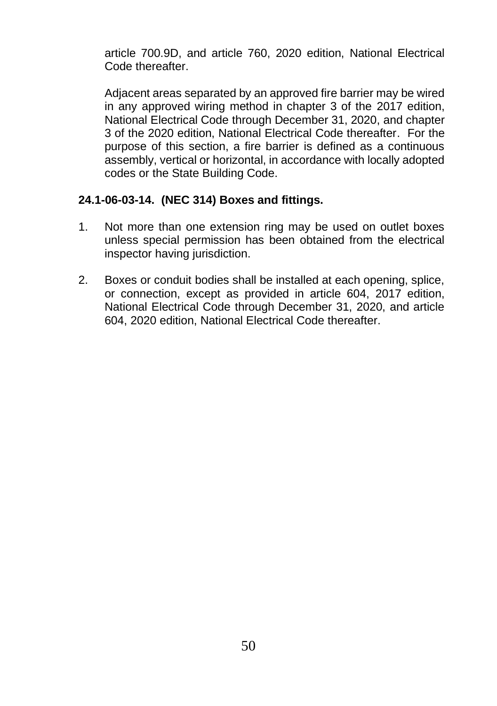article 700.9D, and article 760, 2020 edition, National Electrical Code thereafter.

Adjacent areas separated by an approved fire barrier may be wired in any approved wiring method in chapter 3 of the 2017 edition, National Electrical Code through December 31, 2020, and chapter 3 of the 2020 edition, National Electrical Code thereafter. For the purpose of this section, a fire barrier is defined as a continuous assembly, vertical or horizontal, in accordance with locally adopted codes or the State Building Code.

#### **24.1-06-03-14. (NEC 314) Boxes and fittings.**

- 1. Not more than one extension ring may be used on outlet boxes unless special permission has been obtained from the electrical inspector having jurisdiction.
- 2. Boxes or conduit bodies shall be installed at each opening, splice, or connection, except as provided in article 604, 2017 edition, National Electrical Code through December 31, 2020, and article 604, 2020 edition, National Electrical Code thereafter.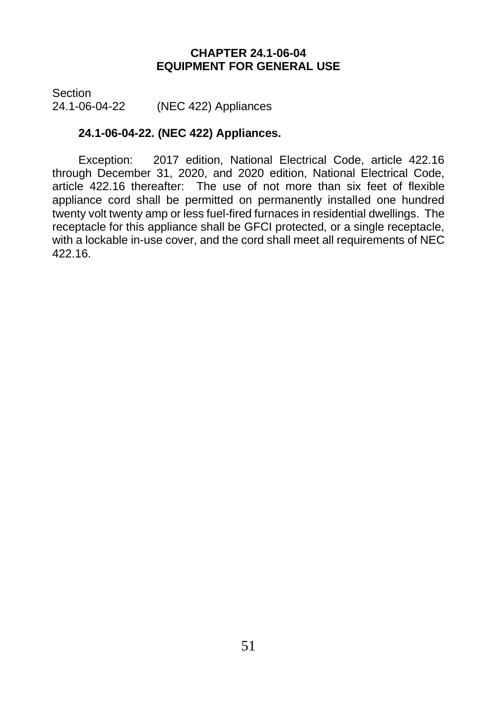#### **CHAPTER 24.1-06-04 EQUIPMENT FOR GENERAL USE**

Section (NEC 422) Appliances

#### **24.1-06-04-22. (NEC 422) Appliances.**

Exception: 2017 edition, National Electrical Code, article 422.16 through December 31, 2020, and 2020 edition, National Electrical Code, article 422.16 thereafter: The use of not more than six feet of flexible appliance cord shall be permitted on permanently installed one hundred twenty volt twenty amp or less fuel-fired furnaces in residential dwellings. The receptacle for this appliance shall be GFCI protected, or a single receptacle, with a lockable in-use cover, and the cord shall meet all requirements of NEC 422.16.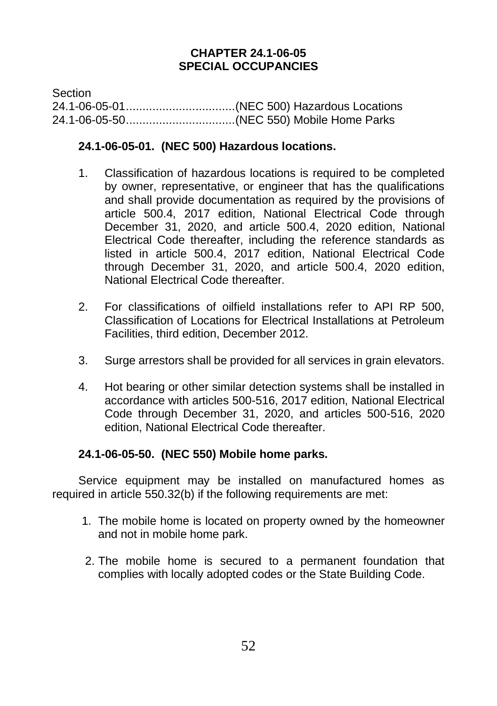#### **CHAPTER 24.1-06-05 SPECIAL OCCUPANCIES**

**Section** 24.1-06-05-01.................................(NEC 500) Hazardous Locations 24.1-06-05-50.................................(NEC 550) Mobile Home Parks

#### **24.1-06-05-01. (NEC 500) Hazardous locations.**

- 1. Classification of hazardous locations is required to be completed by owner, representative, or engineer that has the qualifications and shall provide documentation as required by the provisions of article 500.4, 2017 edition, National Electrical Code through December 31, 2020, and article 500.4, 2020 edition, National Electrical Code thereafter, including the reference standards as listed in article 500.4, 2017 edition, National Electrical Code through December 31, 2020, and article 500.4, 2020 edition, National Electrical Code thereafter.
- 2. For classifications of oilfield installations refer to API RP 500, Classification of Locations for Electrical Installations at Petroleum Facilities, third edition, December 2012.
- 3. Surge arrestors shall be provided for all services in grain elevators.
- 4. Hot bearing or other similar detection systems shall be installed in accordance with articles 500-516, 2017 edition, National Electrical Code through December 31, 2020, and articles 500-516, 2020 edition, National Electrical Code thereafter.

#### **24.1-06-05-50. (NEC 550) Mobile home parks.**

Service equipment may be installed on manufactured homes as required in article 550.32(b) if the following requirements are met:

- 1. The mobile home is located on property owned by the homeowner and not in mobile home park.
- 2. The mobile home is secured to a permanent foundation that complies with locally adopted codes or the State Building Code.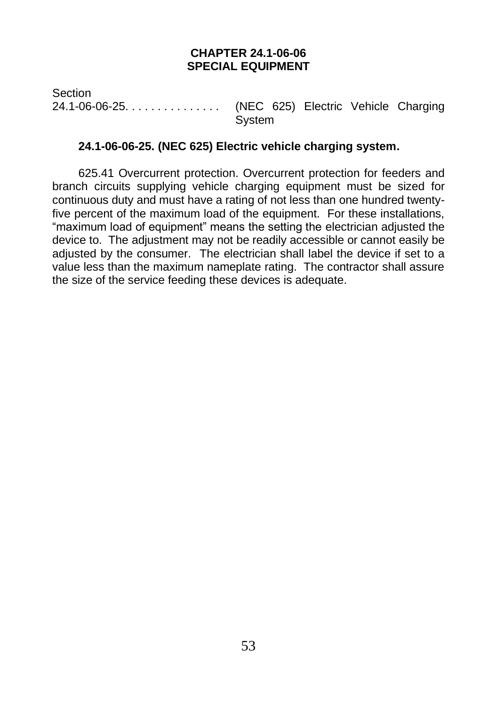#### **CHAPTER 24.1-06-06 SPECIAL EQUIPMENT**

Section 24.1-06-06-25. . . . . . . . . . . . . . . (NEC 625) Electric Vehicle Charging System

#### **24.1-06-06-25. (NEC 625) Electric vehicle charging system.**

625.41 Overcurrent protection. Overcurrent protection for feeders and branch circuits supplying vehicle charging equipment must be sized for continuous duty and must have a rating of not less than one hundred twentyfive percent of the maximum load of the equipment. For these installations, "maximum load of equipment" means the setting the electrician adjusted the device to. The adjustment may not be readily accessible or cannot easily be adjusted by the consumer. The electrician shall label the device if set to a value less than the maximum nameplate rating. The contractor shall assure the size of the service feeding these devices is adequate.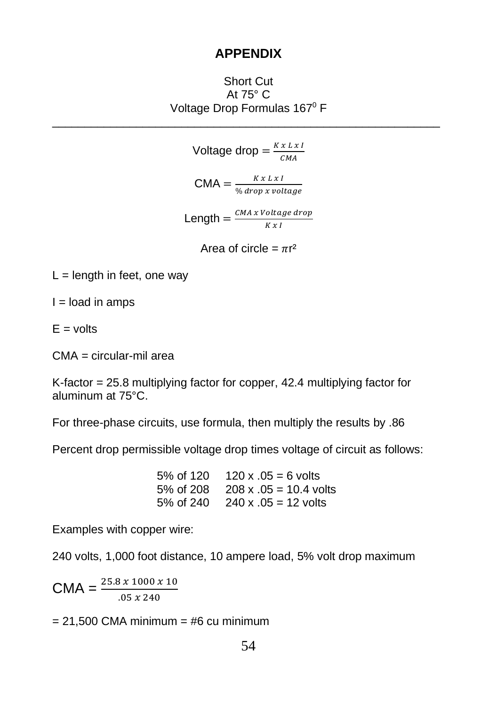#### **APPENDIX**

Short Cut At 75° C Voltage Drop Formulas 167<sup>0</sup> F \_\_\_\_\_\_\_\_\_\_\_\_\_\_\_\_\_\_\_\_\_\_\_\_\_\_\_\_\_\_\_\_\_\_\_\_\_\_\_\_\_\_\_\_\_\_\_\_\_\_\_\_\_\_\_\_\_\_\_\_

> Voltage drop =  $\frac{K x L x R}{g V}$  $CMA$  $CMA = \frac{KxLxI}{N}$ % drop x voltage Length  $=\frac{CMA x \text{ Voltage drop}}{W \cdot M}$  $K x I$

> > Area of circle =  $\pi r^2$

 $L =$  length in feet, one way

 $I =$ load in amps

 $E =$  volts

CMA = circular-mil area

K-factor = 25.8 multiplying factor for copper, 42.4 multiplying factor for aluminum at 75°C.

For three-phase circuits, use formula, then multiply the results by .86

Percent drop permissible voltage drop times voltage of circuit as follows:

5% of 120  $120 \times 0.05 = 6$  volts 5% of 208 208 x .05 = 10.4 volts 5% of 240  $240 \times 0.5 = 12$  volts

Examples with copper wire:

240 volts, 1,000 foot distance, 10 ampere load, 5% volt drop maximum

 $CMA = \frac{25.8 \times 1000 \times 10}{.05 \times 240}$ 

 $= 21,500$  CMA minimum  $=$  #6 cu minimum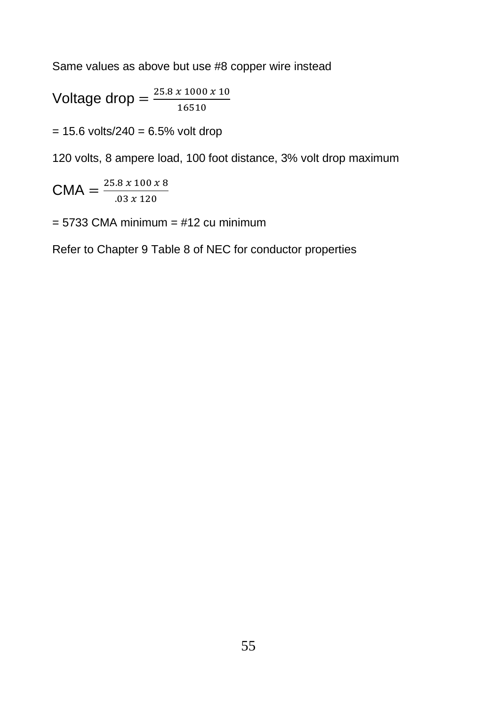Same values as above but use #8 copper wire instead

$$
Voltage drop = \frac{25.8 \times 1000 \times 10}{16510}
$$

 $= 15.6$  volts/240  $= 6.5%$  volt drop

120 volts, 8 ampere load, 100 foot distance, 3% volt drop maximum

 $CMA = \frac{25.8 \times 100 \times 8}{93 \times 138}$  $.03 x 120$ 

 $= 5733$  CMA minimum  $= #12$  cu minimum

Refer to Chapter 9 Table 8 of NEC for conductor properties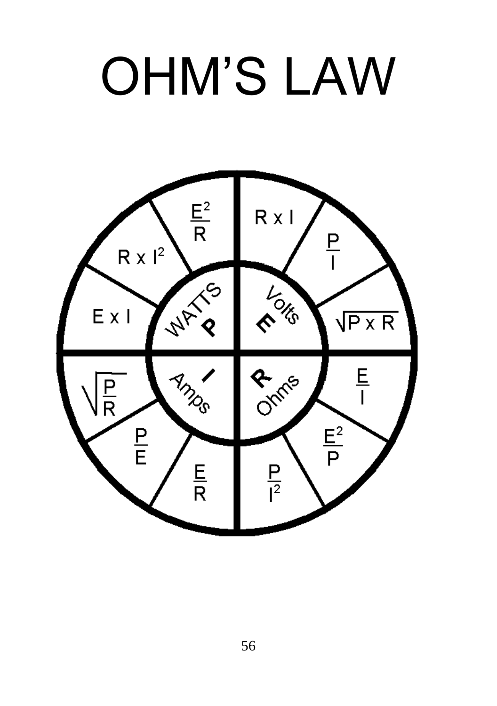# OHM'S LAW

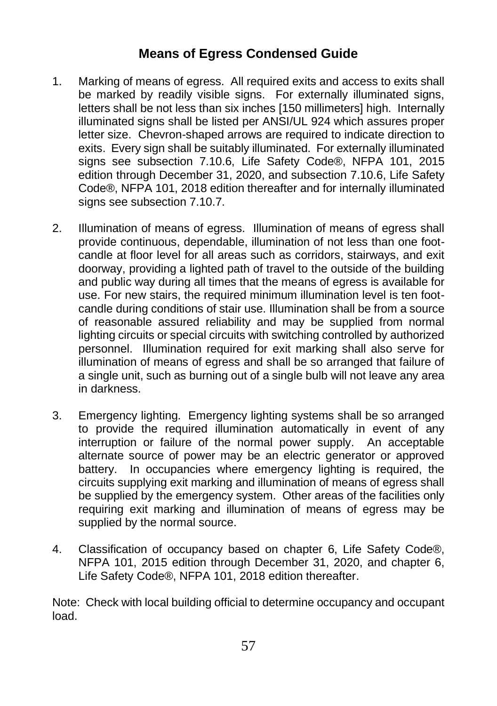#### **Means of Egress Condensed Guide**

- 1. Marking of means of egress. All required exits and access to exits shall be marked by readily visible signs. For externally illuminated signs, letters shall be not less than six inches [150 millimeters] high. Internally illuminated signs shall be listed per ANSI/UL 924 which assures proper letter size. Chevron-shaped arrows are required to indicate direction to exits. Every sign shall be suitably illuminated. For externally illuminated signs see subsection 7.10.6, Life Safety Code®, NFPA 101, 2015 edition through December 31, 2020, and subsection 7.10.6, Life Safety Code®, NFPA 101, 2018 edition thereafter and for internally illuminated signs see subsection 7.10.7.
- 2. Illumination of means of egress. Illumination of means of egress shall provide continuous, dependable, illumination of not less than one footcandle at floor level for all areas such as corridors, stairways, and exit doorway, providing a lighted path of travel to the outside of the building and public way during all times that the means of egress is available for use. For new stairs, the required minimum illumination level is ten footcandle during conditions of stair use. Illumination shall be from a source of reasonable assured reliability and may be supplied from normal lighting circuits or special circuits with switching controlled by authorized personnel. Illumination required for exit marking shall also serve for illumination of means of egress and shall be so arranged that failure of a single unit, such as burning out of a single bulb will not leave any area in darkness.
- 3. Emergency lighting. Emergency lighting systems shall be so arranged to provide the required illumination automatically in event of any interruption or failure of the normal power supply. An acceptable alternate source of power may be an electric generator or approved battery. In occupancies where emergency lighting is required, the circuits supplying exit marking and illumination of means of egress shall be supplied by the emergency system. Other areas of the facilities only requiring exit marking and illumination of means of egress may be supplied by the normal source.
- 4. Classification of occupancy based on chapter 6, Life Safety Code®, NFPA 101, 2015 edition through December 31, 2020, and chapter 6, Life Safety Code®, NFPA 101, 2018 edition thereafter.

Note: Check with local building official to determine occupancy and occupant load.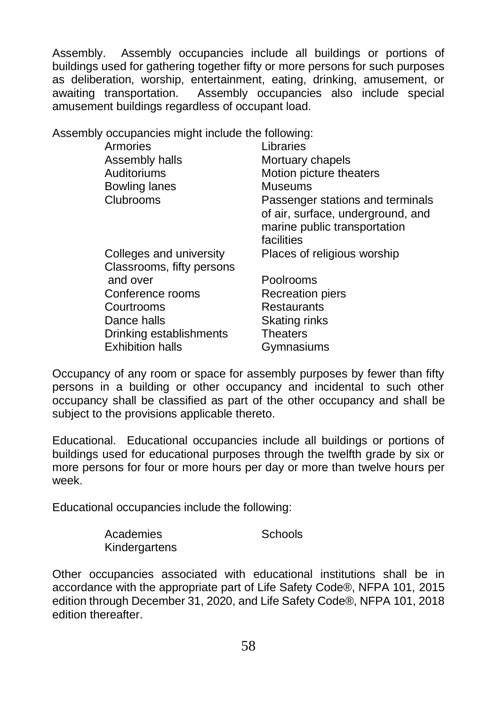Assembly. Assembly occupancies include all buildings or portions of buildings used for gathering together fifty or more persons for such purposes as deliberation, worship, entertainment, eating, drinking, amusement, or awaiting transportation. Assembly occupancies also include special amusement buildings regardless of occupant load.

Assembly occupancies might include the following:

| Libraries                         |
|-----------------------------------|
| Mortuary chapels                  |
| Motion picture theaters           |
| <b>Museums</b>                    |
| Passenger stations and terminals  |
| of air, surface, underground, and |
| marine public transportation      |
| facilities                        |
| Places of religious worship       |
|                                   |
| Poolrooms                         |
| <b>Recreation piers</b>           |
| Restaurants                       |
| Skating rinks                     |
| <b>Theaters</b>                   |
| Gymnasiums                        |
|                                   |

Occupancy of any room or space for assembly purposes by fewer than fifty persons in a building or other occupancy and incidental to such other occupancy shall be classified as part of the other occupancy and shall be subject to the provisions applicable thereto.

Educational. Educational occupancies include all buildings or portions of buildings used for educational purposes through the twelfth grade by six or more persons for four or more hours per day or more than twelve hours per week.

Educational occupancies include the following:

| Academies     | Schools |
|---------------|---------|
| Kindergartens |         |

Other occupancies associated with educational institutions shall be in accordance with the appropriate part of Life Safety Code®, NFPA 101, 2015 edition through December 31, 2020, and Life Safety Code®, NFPA 101, 2018 edition thereafter.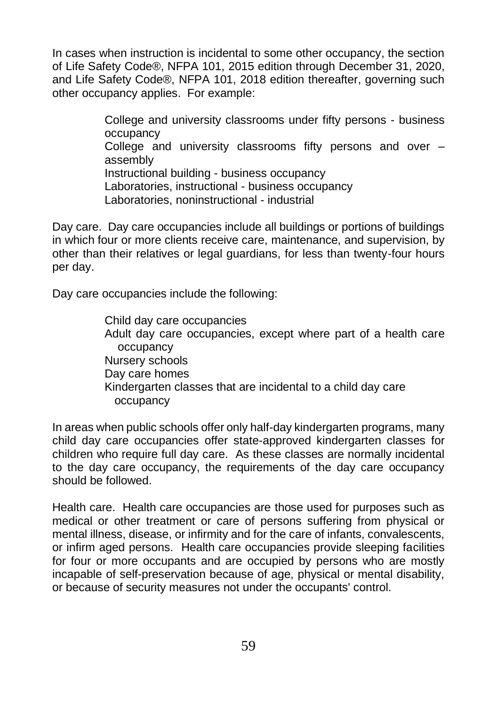In cases when instruction is incidental to some other occupancy, the section of Life Safety Code®, NFPA 101, 2015 edition through December 31, 2020, and Life Safety Code®, NFPA 101, 2018 edition thereafter, governing such other occupancy applies. For example:

> College and university classrooms under fifty persons - business occupancy College and university classrooms fifty persons and over – assembly Instructional building - business occupancy Laboratories, instructional - business occupancy Laboratories, noninstructional - industrial

Day care. Day care occupancies include all buildings or portions of buildings in which four or more clients receive care, maintenance, and supervision, by other than their relatives or legal guardians, for less than twenty-four hours per day.

Day care occupancies include the following:

Child day care occupancies Adult day care occupancies, except where part of a health care occupancy Nursery schools Day care homes Kindergarten classes that are incidental to a child day care occupancy

In areas when public schools offer only half-day kindergarten programs, many child day care occupancies offer state-approved kindergarten classes for children who require full day care. As these classes are normally incidental to the day care occupancy, the requirements of the day care occupancy should be followed.

Health care. Health care occupancies are those used for purposes such as medical or other treatment or care of persons suffering from physical or mental illness, disease, or infirmity and for the care of infants, convalescents, or infirm aged persons. Health care occupancies provide sleeping facilities for four or more occupants and are occupied by persons who are mostly incapable of self-preservation because of age, physical or mental disability, or because of security measures not under the occupants' control.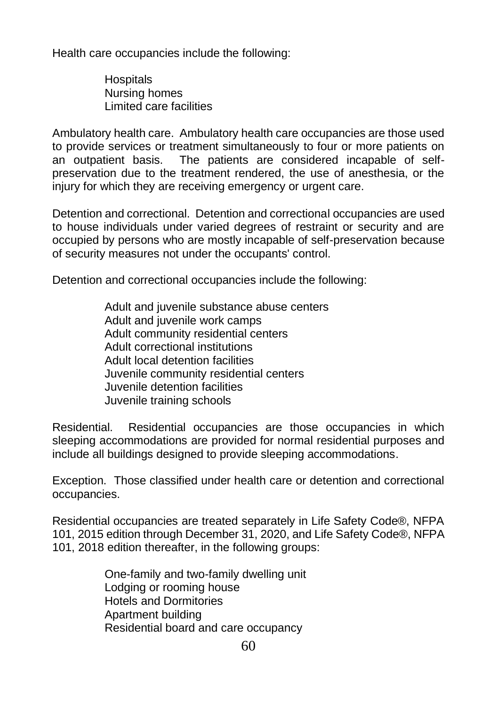Health care occupancies include the following:

**Hospitals** Nursing homes Limited care facilities

Ambulatory health care. Ambulatory health care occupancies are those used to provide services or treatment simultaneously to four or more patients on an outpatient basis. The patients are considered incapable of selfpreservation due to the treatment rendered, the use of anesthesia, or the injury for which they are receiving emergency or urgent care.

Detention and correctional. Detention and correctional occupancies are used to house individuals under varied degrees of restraint or security and are occupied by persons who are mostly incapable of self-preservation because of security measures not under the occupants' control.

Detention and correctional occupancies include the following:

Adult and iuvenile substance abuse centers Adult and juvenile work camps Adult community residential centers Adult correctional institutions Adult local detention facilities Juvenile community residential centers Juvenile detention facilities Juvenile training schools

Residential. Residential occupancies are those occupancies in which sleeping accommodations are provided for normal residential purposes and include all buildings designed to provide sleeping accommodations.

Exception. Those classified under health care or detention and correctional occupancies.

Residential occupancies are treated separately in Life Safety Code®, NFPA 101, 2015 edition through December 31, 2020, and Life Safety Code®, NFPA 101, 2018 edition thereafter, in the following groups:

> One-family and two-family dwelling unit Lodging or rooming house Hotels and Dormitories Apartment building Residential board and care occupancy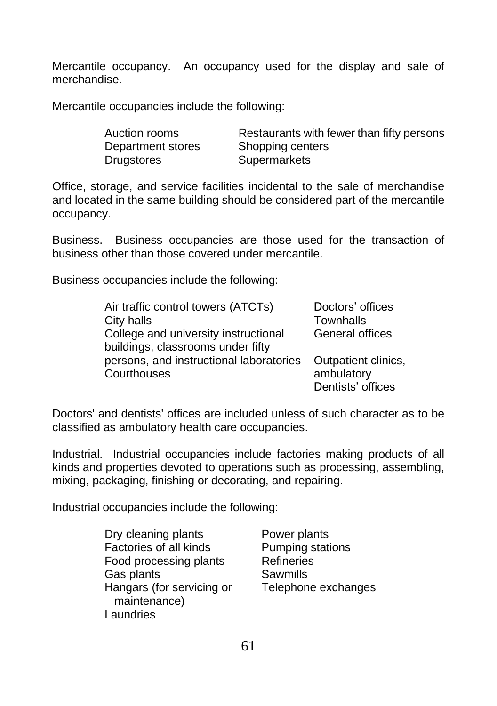Mercantile occupancy. An occupancy used for the display and sale of merchandise.

Mercantile occupancies include the following:

| Auction rooms     | Restaurants with fewer than fifty persons |
|-------------------|-------------------------------------------|
| Department stores | Shopping centers                          |
| Drugstores        | Supermarkets                              |

Office, storage, and service facilities incidental to the sale of merchandise and located in the same building should be considered part of the mercantile occupancy.

Business. Business occupancies are those used for the transaction of business other than those covered under mercantile.

Business occupancies include the following:

| Air traffic control towers (ATCTs)                                        | Doctors' offices    |
|---------------------------------------------------------------------------|---------------------|
| City halls                                                                | Townhalls           |
| College and university instructional<br>buildings, classrooms under fifty | General offices     |
| persons, and instructional laboratories                                   | Outpatient clinics. |
| Courthouses                                                               | ambulatory          |
|                                                                           | Dentists' offices   |

Doctors' and dentists' offices are included unless of such character as to be classified as ambulatory health care occupancies.

Industrial. Industrial occupancies include factories making products of all kinds and properties devoted to operations such as processing, assembling, mixing, packaging, finishing or decorating, and repairing.

Industrial occupancies include the following:

Dry cleaning plants **Power plants**<br> **Pactories of all kinds** Pumping stat Food processing plants Refineries Gas plants **Sawmills** Hangars (for servicing or Telephone exchanges maintenance) **Laundries** 

Pumping stations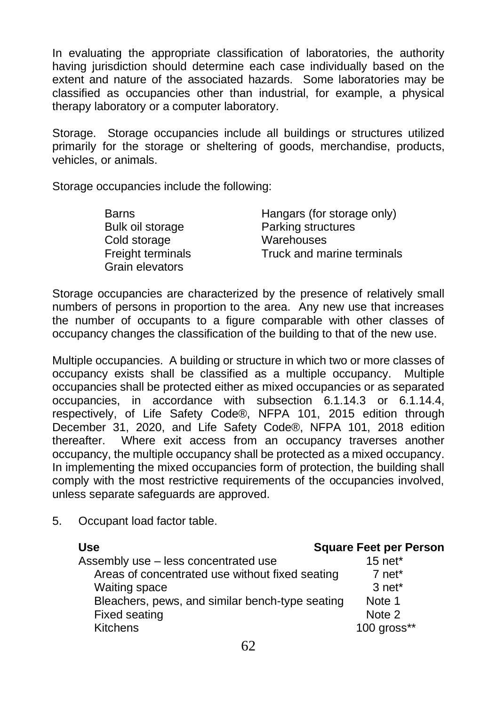In evaluating the appropriate classification of laboratories, the authority having jurisdiction should determine each case individually based on the extent and nature of the associated hazards. Some laboratories may be classified as occupancies other than industrial, for example, a physical therapy laboratory or a computer laboratory.

Storage. Storage occupancies include all buildings or structures utilized primarily for the storage or sheltering of goods, merchandise, products, vehicles, or animals.

Storage occupancies include the following:

| <b>Barns</b>      | Hangars (for storage only) |
|-------------------|----------------------------|
| Bulk oil storage  | Parking structures         |
| Cold storage      | Warehouses                 |
| Freight terminals | Truck and marine terminals |
| Grain elevators   |                            |

Storage occupancies are characterized by the presence of relatively small numbers of persons in proportion to the area. Any new use that increases the number of occupants to a figure comparable with other classes of occupancy changes the classification of the building to that of the new use.

Multiple occupancies. A building or structure in which two or more classes of occupancy exists shall be classified as a multiple occupancy. Multiple occupancies shall be protected either as mixed occupancies or as separated occupancies, in accordance with subsection 6.1.14.3 or 6.1.14.4, respectively, of Life Safety Code®, NFPA 101, 2015 edition through December 31, 2020, and Life Safety Code®, NFPA 101, 2018 edition thereafter. Where exit access from an occupancy traverses another occupancy, the multiple occupancy shall be protected as a mixed occupancy. In implementing the mixed occupancies form of protection, the building shall comply with the most restrictive requirements of the occupancies involved, unless separate safeguards are approved.

- **Use Square Feet per Person** Assembly use – less concentrated use 15 net\* Areas of concentrated use without fixed seating 7 net\* Waiting space 3 net\* Bleachers, pews, and similar bench-type seating Note 1 Fixed seating Note 2 Kitchens 100 gross\*\*
- 5. Occupant load factor table.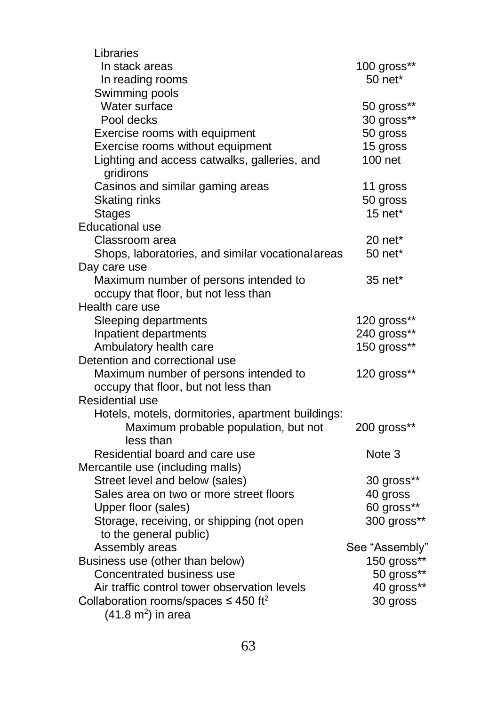| Libraries                                                 |                     |
|-----------------------------------------------------------|---------------------|
| In stack areas                                            | 100 gross**         |
| In reading rooms                                          | $50$ net*           |
| Swimming pools                                            |                     |
| Water surface                                             | 50 gross**          |
| Pool decks                                                | 30 gross**          |
| Exercise rooms with equipment                             | 50 gross            |
| Exercise rooms without equipment                          | 15 gross            |
| Lighting and access catwalks, galleries, and<br>gridirons | 100 net             |
| Casinos and similar gaming areas                          | 11 gross            |
| Skating rinks                                             | 50 gross            |
| <b>Stages</b>                                             | $15$ net*           |
| <b>Educational use</b>                                    |                     |
| Classroom area                                            | 20 net <sup>*</sup> |
| Shops, laboratories, and similar vocational areas         | 50 net*             |
| Day care use                                              |                     |
| Maximum number of persons intended to                     | 35 net*             |
| occupy that floor, but not less than                      |                     |
| Health care use                                           |                     |
| Sleeping departments                                      | 120 gross**         |
| Inpatient departments                                     | 240 gross**         |
| Ambulatory health care                                    | 150 gross**         |
| Detention and correctional use                            |                     |
| Maximum number of persons intended to                     | 120 gross**         |
| occupy that floor, but not less than                      |                     |
| Residential use                                           |                     |
| Hotels, motels, dormitories, apartment buildings:         |                     |
| Maximum probable population, but not<br>less than         | 200 gross**         |
| Residential board and care use                            | Note 3              |
| Mercantile use (including malls)                          |                     |
| Street level and below (sales)                            | 30 gross**          |
| Sales area on two or more street floors                   | 40 gross            |
| Upper floor (sales)                                       | 60 gross**          |
| Storage, receiving, or shipping (not open                 | 300 gross**         |
| to the general public)                                    |                     |
| Assembly areas                                            | See "Assembly"      |
| Business use (other than below)                           | 150 gross**         |
| Concentrated business use                                 | 50 gross**          |
| Air traffic control tower observation levels              | 40 gross**          |
| Collaboration rooms/spaces $\leq 450$ ft <sup>2</sup>     | 30 gross            |
| $(41.8 \text{ m}^2)$ in area                              |                     |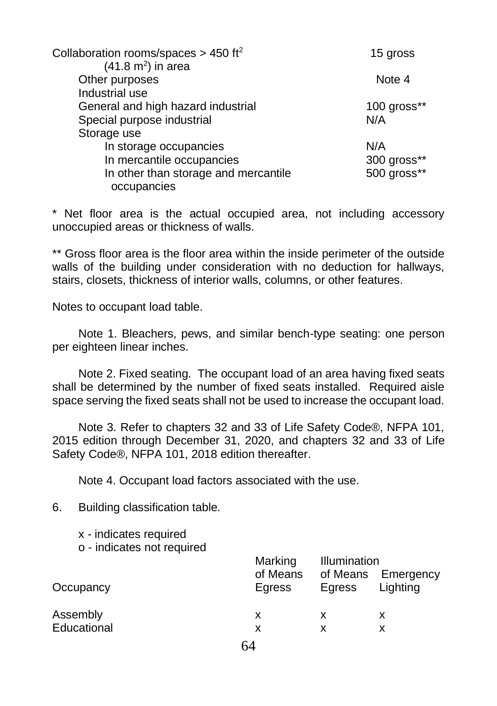| Collaboration rooms/spaces > 450 ft <sup>2</sup> | 15 gross                   |
|--------------------------------------------------|----------------------------|
| $(41.8 \text{ m}^2)$ in area                     |                            |
| Other purposes                                   | Note 4                     |
| Industrial use                                   |                            |
| General and high hazard industrial               | $100$ gross $**$           |
| Special purpose industrial                       | N/A                        |
| Storage use                                      |                            |
| In storage occupancies                           | N/A                        |
| In mercantile occupancies                        |                            |
| In other than storage and mercantile             | 300 gross**<br>500 gross** |
| occupancies                                      |                            |

\* Net floor area is the actual occupied area, not including accessory unoccupied areas or thickness of walls.

\*\* Gross floor area is the floor area within the inside perimeter of the outside walls of the building under consideration with no deduction for hallways, stairs, closets, thickness of interior walls, columns, or other features.

Notes to occupant load table.

Note 1. Bleachers, pews, and similar bench-type seating: one person per eighteen linear inches.

Note 2. Fixed seating. The occupant load of an area having fixed seats shall be determined by the number of fixed seats installed. Required aisle space serving the fixed seats shall not be used to increase the occupant load.

Note 3. Refer to chapters 32 and 33 of Life Safety Code®, NFPA 101, 2015 edition through December 31, 2020, and chapters 32 and 33 of Life Safety Code®, NFPA 101, 2018 edition thereafter.

Note 4. Occupant load factors associated with the use.

6. Building classification table.

- x indicates required
- o indicates not required

|             | Marking            | Illumination       |                       |
|-------------|--------------------|--------------------|-----------------------|
| Occupancy   | of Means<br>Egress | of Means<br>Egress | Emergency<br>Lighting |
| Assembly    | x                  | x                  | х                     |
| Educational | x                  | x                  |                       |
|             | $\sim$ 1           |                    |                       |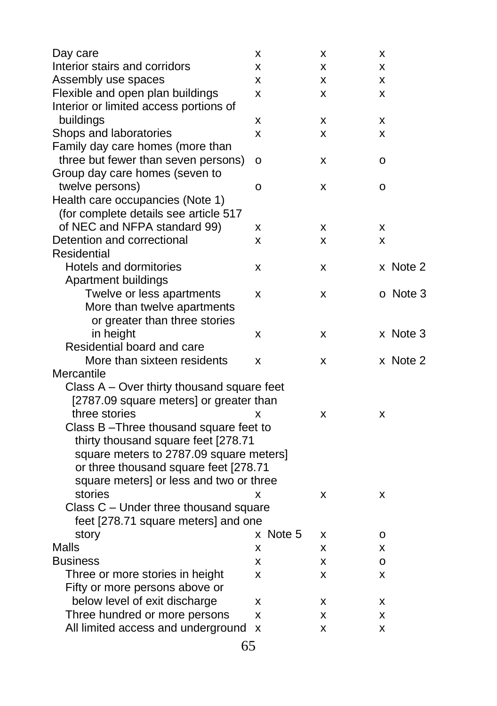| Day care                                                                              | x        | x | x        |
|---------------------------------------------------------------------------------------|----------|---|----------|
| Interior stairs and corridors                                                         | x        | x | x        |
| Assembly use spaces                                                                   | x        | x | x        |
| Flexible and open plan buildings                                                      | x        | x | x        |
| Interior or limited access portions of                                                |          |   |          |
| buildings                                                                             | x        | x | x        |
| Shops and laboratories                                                                | X        | x | x        |
| Family day care homes (more than                                                      |          |   |          |
| three but fewer than seven persons)                                                   | o        | x | o        |
| Group day care homes (seven to                                                        |          |   |          |
| twelve persons)                                                                       | о        | x | o        |
| Health care occupancies (Note 1)                                                      |          |   |          |
| (for complete details see article 517                                                 |          |   |          |
| of NEC and NFPA standard 99)                                                          | x        | x | x        |
| Detention and correctional                                                            | x        | x | x        |
| Residential                                                                           |          |   |          |
| Hotels and dormitories                                                                | x        | x | x Note 2 |
| Apartment buildings                                                                   |          |   |          |
| Twelve or less apartments                                                             | x        | x | o Note 3 |
| More than twelve apartments                                                           |          |   |          |
| or greater than three stories                                                         |          |   |          |
| in height                                                                             | x        | x | x Note 3 |
| Residential board and care<br>More than sixteen residents                             |          |   |          |
|                                                                                       | X        | x | x Note 2 |
| Mercantile                                                                            |          |   |          |
| Class A – Over thirty thousand square feet<br>[2787.09 square meters] or greater than |          |   |          |
| three stories                                                                         | x        | x | x        |
| Class B-Three thousand square feet to                                                 |          |   |          |
| thirty thousand square feet [278.71                                                   |          |   |          |
| square meters to 2787.09 square meters]                                               |          |   |          |
| or three thousand square feet [278.71                                                 |          |   |          |
| square meters] or less and two or three                                               |          |   |          |
| stories                                                                               | x        | X | x        |
| Class C - Under three thousand square                                                 |          |   |          |
| feet [278.71 square meters] and one                                                   |          |   |          |
| story                                                                                 | x Note 5 | X | o        |
| Malls                                                                                 | x        | x | x        |
| <b>Business</b>                                                                       | x        | x | о        |
| Three or more stories in height                                                       | x        | x | x        |
| Fifty or more persons above or                                                        |          |   |          |
| below level of exit discharge                                                         | х        | x | x        |
| Three hundred or more persons                                                         | x        | x | x        |
| All limited access and underground                                                    | X        | x | x        |
|                                                                                       |          |   |          |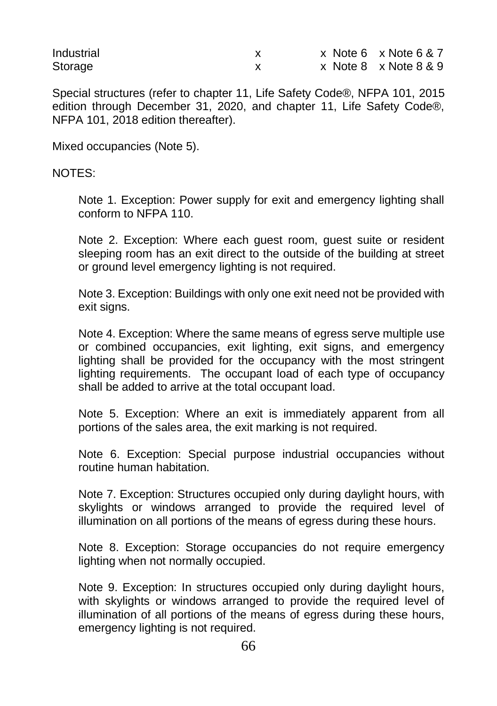| Industrial |  | x Note 6 x Note 6 & 7 |
|------------|--|-----------------------|
| Storage    |  | x Note 8 x Note 8 & 9 |

Special structures (refer to chapter 11, Life Safety Code®, NFPA 101, 2015 edition through December 31, 2020, and chapter 11, Life Safety Code®, NFPA 101, 2018 edition thereafter).

Mixed occupancies (Note 5).

#### NOTES:

Note 1. Exception: Power supply for exit and emergency lighting shall conform to NFPA 110.

Note 2. Exception: Where each guest room, guest suite or resident sleeping room has an exit direct to the outside of the building at street or ground level emergency lighting is not required.

Note 3. Exception: Buildings with only one exit need not be provided with exit signs.

Note 4. Exception: Where the same means of egress serve multiple use or combined occupancies, exit lighting, exit signs, and emergency lighting shall be provided for the occupancy with the most stringent lighting requirements. The occupant load of each type of occupancy shall be added to arrive at the total occupant load.

Note 5. Exception: Where an exit is immediately apparent from all portions of the sales area, the exit marking is not required.

Note 6. Exception: Special purpose industrial occupancies without routine human habitation.

Note 7. Exception: Structures occupied only during daylight hours, with skylights or windows arranged to provide the required level of illumination on all portions of the means of egress during these hours.

Note 8. Exception: Storage occupancies do not require emergency lighting when not normally occupied.

Note 9. Exception: In structures occupied only during daylight hours, with skylights or windows arranged to provide the required level of illumination of all portions of the means of egress during these hours, emergency lighting is not required.